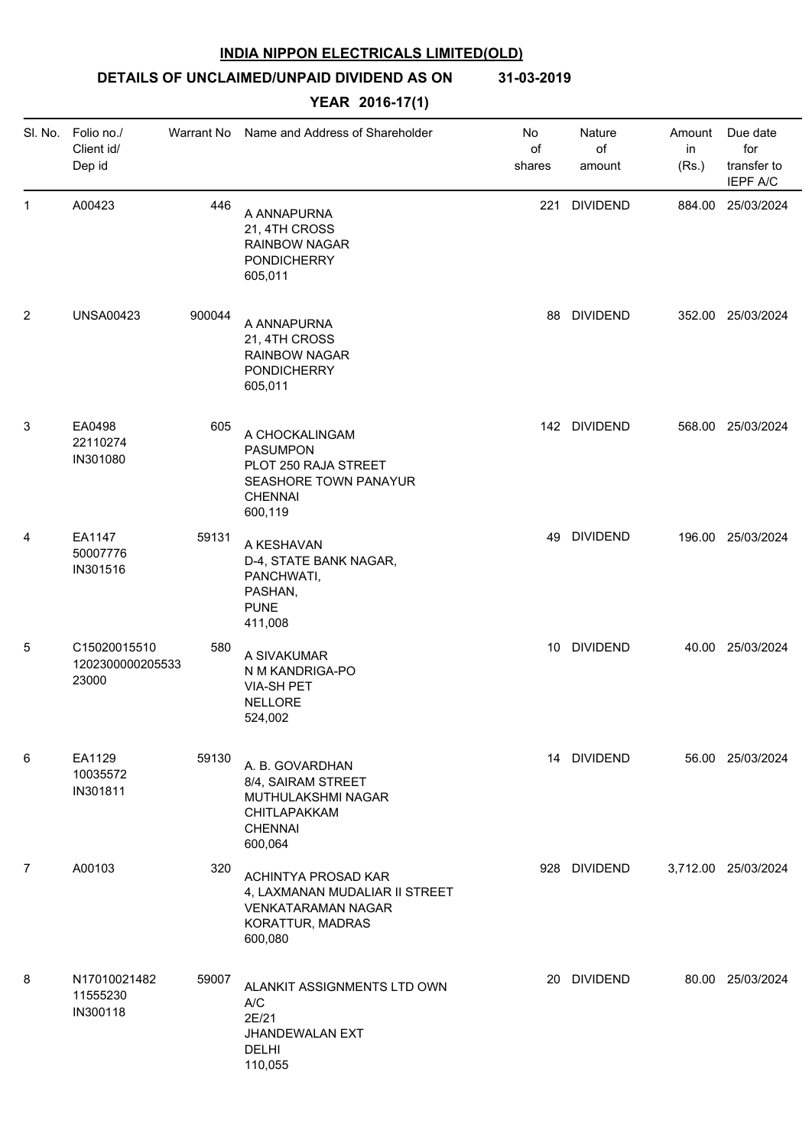# **DETAILS OF UNCLAIMED/UNPAID DIVIDEND AS ON 31-03-2019**

| SI. No.        | Folio no./<br>Client id/<br>Dep id        | Warrant No | Name and Address of Shareholder                                                                                      | No<br>of<br>shares | Nature<br>of<br>amount | Amount<br>in<br>(Rs.) | Due date<br>for<br>transfer to<br><b>IEPF A/C</b> |
|----------------|-------------------------------------------|------------|----------------------------------------------------------------------------------------------------------------------|--------------------|------------------------|-----------------------|---------------------------------------------------|
| 1              | A00423                                    | 446        | A ANNAPURNA<br>21, 4TH CROSS<br><b>RAINBOW NAGAR</b><br><b>PONDICHERRY</b><br>605,011                                | 221                | <b>DIVIDEND</b>        |                       | 884.00 25/03/2024                                 |
| $\overline{2}$ | <b>UNSA00423</b>                          | 900044     | A ANNAPURNA<br>21, 4TH CROSS<br><b>RAINBOW NAGAR</b><br><b>PONDICHERRY</b><br>605,011                                |                    | 88 DIVIDEND            |                       | 352.00 25/03/2024                                 |
| 3              | EA0498<br>22110274<br>IN301080            | 605        | A CHOCKALINGAM<br><b>PASUMPON</b><br>PLOT 250 RAJA STREET<br>SEASHORE TOWN PANAYUR<br><b>CHENNAI</b><br>600,119      |                    | 142 DIVIDEND           |                       | 568.00 25/03/2024                                 |
| 4              | EA1147<br>50007776<br>IN301516            | 59131      | A KESHAVAN<br>D-4, STATE BANK NAGAR,<br>PANCHWATI,<br>PASHAN,<br><b>PUNE</b><br>411,008                              |                    | 49 DIVIDEND            |                       | 196.00 25/03/2024                                 |
| 5              | C15020015510<br>1202300000205533<br>23000 | 580        | A SIVAKUMAR<br>N M KANDRIGA-PO<br><b>VIA-SH PET</b><br><b>NELLORE</b><br>524,002                                     |                    | 10 DIVIDEND            |                       | 40.00 25/03/2024                                  |
| 6              | EA1129<br>10035572<br>IN301811            | 59130      | A. B. GOVARDHAN<br>8/4, SAIRAM STREET<br>MUTHULAKSHMI NAGAR<br>CHITLAPAKKAM<br><b>CHENNAI</b><br>600,064             |                    | 14 DIVIDEND            |                       | 56.00 25/03/2024                                  |
| $\overline{7}$ | A00103                                    | 320        | ACHINTYA PROSAD KAR<br>4, LAXMANAN MUDALIAR II STREET<br><b>VENKATARAMAN NAGAR</b><br>KORATTUR, MADRAS<br>600,080    |                    | 928 DIVIDEND           |                       | 3,712.00 25/03/2024                               |
| 8              | N17010021482<br>11555230<br>IN300118      | 59007      | ALANKIT ASSIGNMENTS LTD OWN<br>$\mathsf{A}/\mathsf{C}$<br>2E/21<br><b>JHANDEWALAN EXT</b><br><b>DELHI</b><br>110,055 |                    | 20 DIVIDEND            |                       | 80.00 25/03/2024                                  |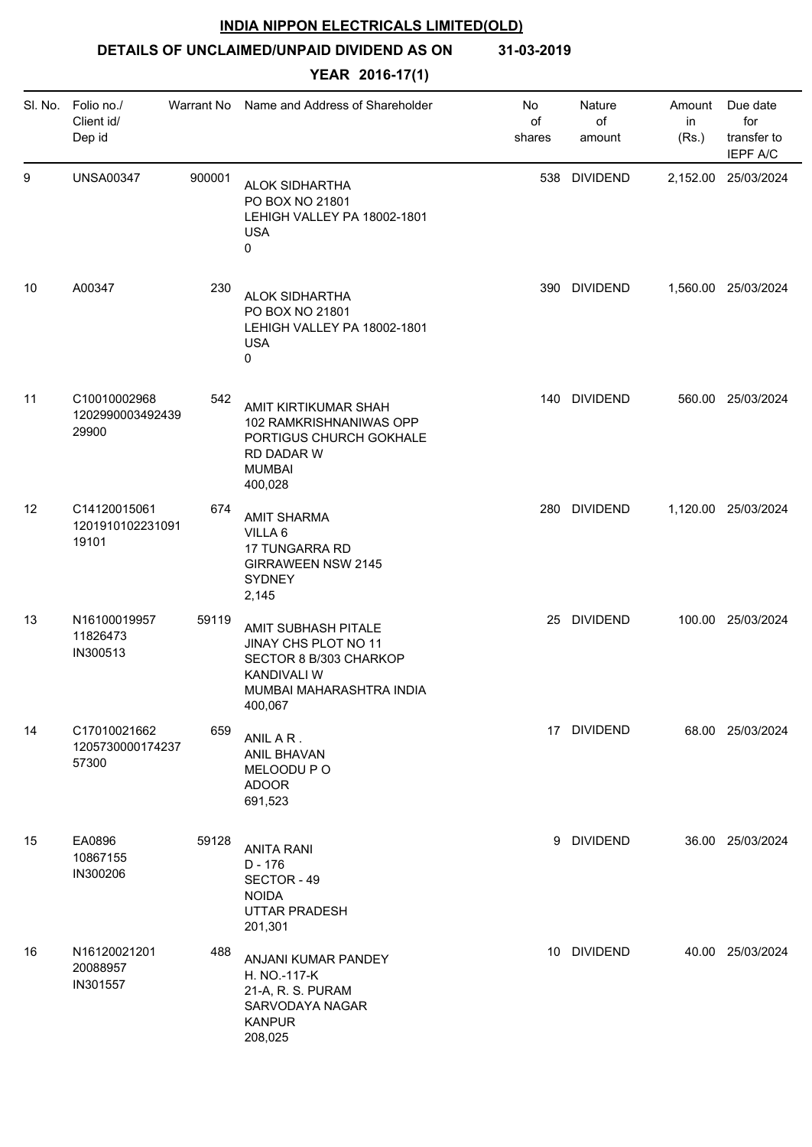# **DETAILS OF UNCLAIMED/UNPAID DIVIDEND AS ON 31-03-2019**

|    | SI. No. Folio no./<br>Client id/<br>Dep id | Warrant No | Name and Address of Shareholder                                                                                                    | No<br>of<br>shares | Nature<br>of<br>amount | Amount<br>in<br>(Rs.) | Due date<br>for<br>transfer to<br><b>IEPF A/C</b> |
|----|--------------------------------------------|------------|------------------------------------------------------------------------------------------------------------------------------------|--------------------|------------------------|-----------------------|---------------------------------------------------|
| 9  | <b>UNSA00347</b>                           | 900001     | <b>ALOK SIDHARTHA</b><br>PO BOX NO 21801<br>LEHIGH VALLEY PA 18002-1801<br><b>USA</b><br>0                                         |                    | 538 DIVIDEND           |                       | 2,152.00 25/03/2024                               |
| 10 | A00347                                     | 230        | <b>ALOK SIDHARTHA</b><br>PO BOX NO 21801<br>LEHIGH VALLEY PA 18002-1801<br><b>USA</b><br>0                                         |                    | 390 DIVIDEND           |                       | 1,560.00 25/03/2024                               |
| 11 | C10010002968<br>1202990003492439<br>29900  | 542        | AMIT KIRTIKUMAR SHAH<br>102 RAMKRISHNANIWAS OPP<br>PORTIGUS CHURCH GOKHALE<br>RD DADAR W<br><b>MUMBAI</b><br>400,028               |                    | 140 DIVIDEND           |                       | 560.00 25/03/2024                                 |
| 12 | C14120015061<br>1201910102231091<br>19101  | 674        | <b>AMIT SHARMA</b><br>VILLA 6<br>17 TUNGARRA RD<br><b>GIRRAWEEN NSW 2145</b><br><b>SYDNEY</b><br>2,145                             |                    | 280 DIVIDEND           |                       | 1,120.00 25/03/2024                               |
| 13 | N16100019957<br>11826473<br>IN300513       | 59119      | AMIT SUBHASH PITALE<br>JINAY CHS PLOT NO 11<br>SECTOR 8 B/303 CHARKOP<br><b>KANDIVALI W</b><br>MUMBAI MAHARASHTRA INDIA<br>400,067 |                    | 25 DIVIDEND            |                       | 100.00 25/03/2024                                 |
| 14 | C17010021662<br>1205730000174237<br>57300  | 659        | ANIL AR.<br><b>ANIL BHAVAN</b><br>MELOODU PO<br><b>ADOOR</b><br>691,523                                                            |                    | 17 DIVIDEND            |                       | 68.00 25/03/2024                                  |
| 15 | EA0896<br>10867155<br>IN300206             | 59128      | <b>ANITA RANI</b><br>$D - 176$<br>SECTOR - 49<br><b>NOIDA</b><br><b>UTTAR PRADESH</b><br>201,301                                   |                    | 9 DIVIDEND             |                       | 36.00 25/03/2024                                  |
| 16 | N16120021201<br>20088957<br>IN301557       | 488        | ANJANI KUMAR PANDEY<br>H. NO.-117-K<br>21-A, R. S. PURAM<br>SARVODAYA NAGAR<br><b>KANPUR</b><br>208,025                            |                    | 10 DIVIDEND            |                       | 40.00 25/03/2024                                  |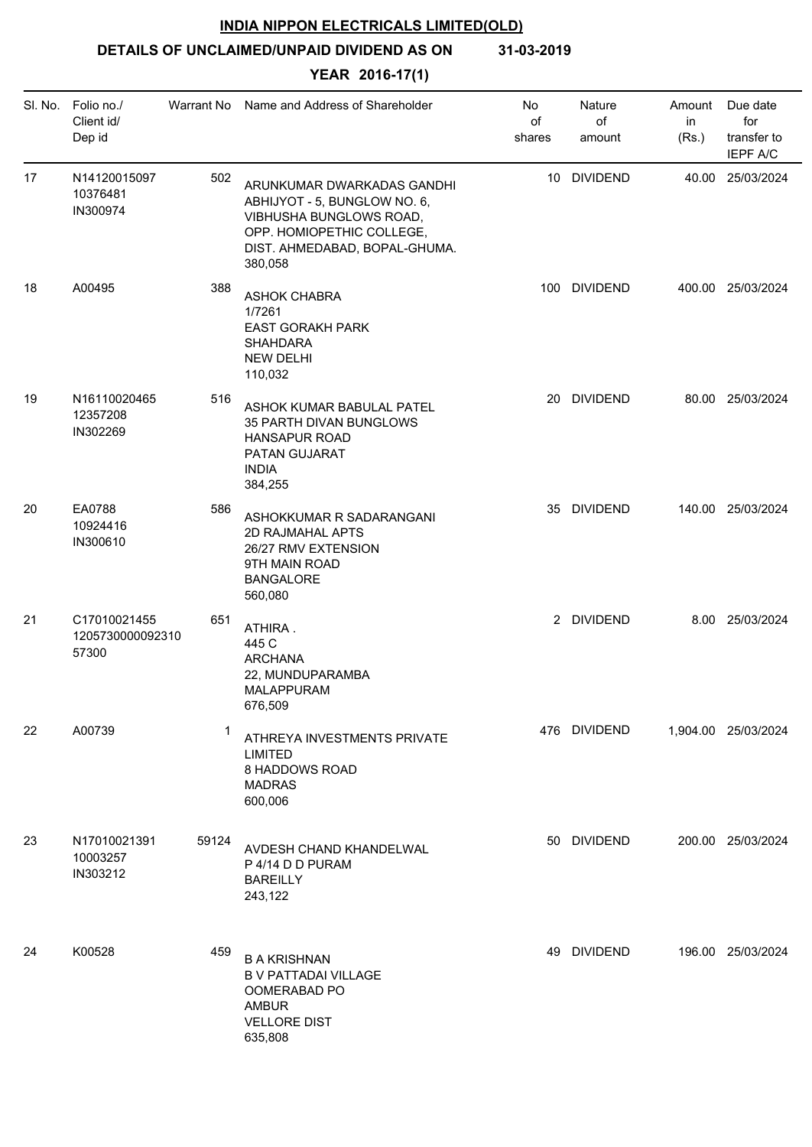**DETAILS OF UNCLAIMED/UNPAID DIVIDEND AS ON 31-03-2019**

| SI. No. | Folio no./<br>Client id/<br>Dep id        | Warrant No | Name and Address of Shareholder                                                                                                                                | No<br>of<br>shares | Nature<br>of<br>amount | Amount<br>in<br>(Rs.) | Due date<br>for<br>transfer to<br><b>IEPF A/C</b> |
|---------|-------------------------------------------|------------|----------------------------------------------------------------------------------------------------------------------------------------------------------------|--------------------|------------------------|-----------------------|---------------------------------------------------|
| 17      | N14120015097<br>10376481<br>IN300974      | 502        | ARUNKUMAR DWARKADAS GANDHI<br>ABHIJYOT - 5, BUNGLOW NO. 6,<br>VIBHUSHA BUNGLOWS ROAD,<br>OPP. HOMIOPETHIC COLLEGE,<br>DIST. AHMEDABAD, BOPAL-GHUMA.<br>380,058 |                    | 10 DIVIDEND            |                       | 40.00 25/03/2024                                  |
| 18      | A00495                                    | 388        | <b>ASHOK CHABRA</b><br>1/7261<br><b>EAST GORAKH PARK</b><br><b>SHAHDARA</b><br><b>NEW DELHI</b><br>110,032                                                     |                    | 100 DIVIDEND           |                       | 400.00 25/03/2024                                 |
| 19      | N16110020465<br>12357208<br>IN302269      | 516        | ASHOK KUMAR BABULAL PATEL<br>35 PARTH DIVAN BUNGLOWS<br><b>HANSAPUR ROAD</b><br>PATAN GUJARAT<br><b>INDIA</b><br>384,255                                       |                    | 20 DIVIDEND            |                       | 80.00 25/03/2024                                  |
| 20      | EA0788<br>10924416<br>IN300610            | 586        | ASHOKKUMAR R SADARANGANI<br>2D RAJMAHAL APTS<br>26/27 RMV EXTENSION<br>9TH MAIN ROAD<br><b>BANGALORE</b><br>560,080                                            |                    | 35 DIVIDEND            |                       | 140.00 25/03/2024                                 |
| 21      | C17010021455<br>1205730000092310<br>57300 | 651        | ATHIRA.<br>445 C<br><b>ARCHANA</b><br>22, MUNDUPARAMBA<br>MALAPPURAM<br>676,509                                                                                |                    | 2 DIVIDEND             |                       | 8.00 25/03/2024                                   |
| 22      | A00739                                    | -1         | ATHREYA INVESTMENTS PRIVATE<br><b>LIMITED</b><br>8 HADDOWS ROAD<br><b>MADRAS</b><br>600,006                                                                    |                    | 476 DIVIDEND           |                       | 1,904.00 25/03/2024                               |
| 23      | N17010021391<br>10003257<br>IN303212      | 59124      | AVDESH CHAND KHANDELWAL<br>P 4/14 D D PURAM<br><b>BAREILLY</b><br>243,122                                                                                      |                    | 50 DIVIDEND            |                       | 200.00 25/03/2024                                 |
| 24      | K00528                                    | 459        | <b>B A KRISHNAN</b><br><b>B V PATTADAI VILLAGE</b><br>OOMERABAD PO<br><b>AMBUR</b><br><b>VELLORE DIST</b><br>635,808                                           |                    | 49 DIVIDEND            |                       | 196.00 25/03/2024                                 |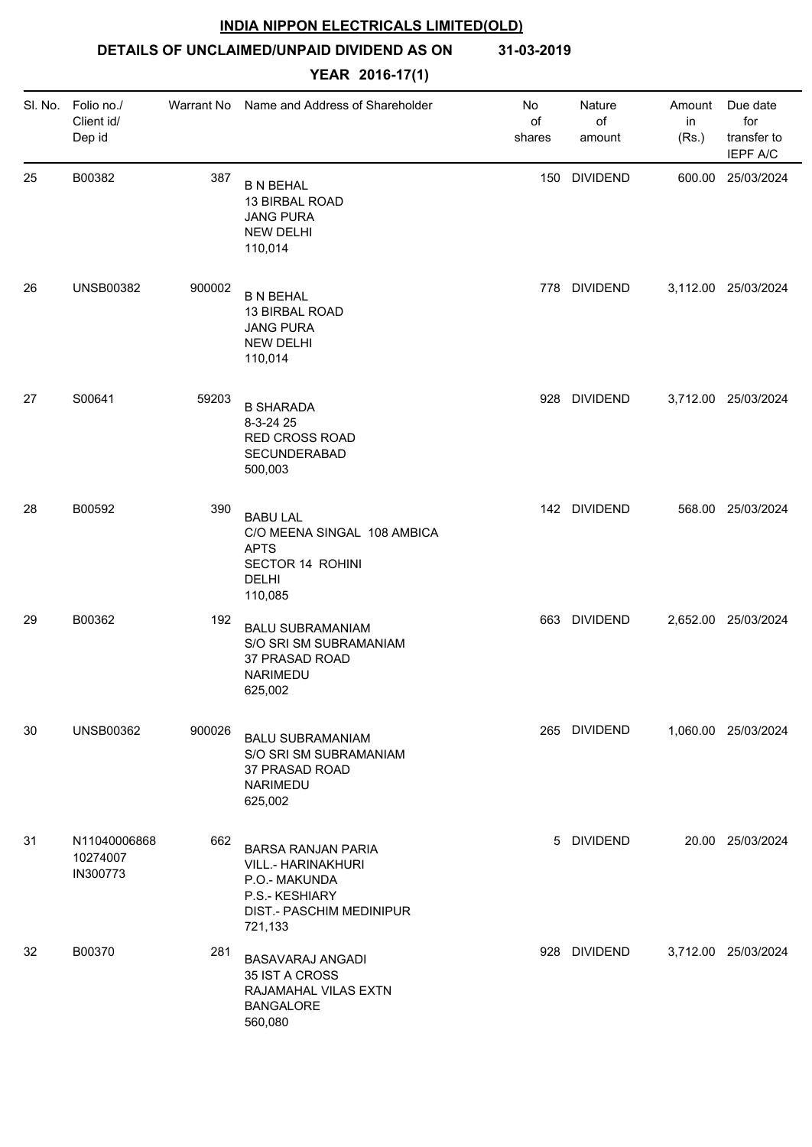**DETAILS OF UNCLAIMED/UNPAID DIVIDEND AS ON 31-03-2019**

| SI. No. | Folio no./<br>Client id/<br>Dep id   | Warrant No | Name and Address of Shareholder                                                                                                  | No<br>of<br>shares | Nature<br>of<br>amount | Amount<br>in<br>(Rs.) | Due date<br>for<br>transfer to<br>IEPF A/C |
|---------|--------------------------------------|------------|----------------------------------------------------------------------------------------------------------------------------------|--------------------|------------------------|-----------------------|--------------------------------------------|
| 25      | B00382                               | 387        | <b>B N BEHAL</b><br>13 BIRBAL ROAD<br><b>JANG PURA</b><br><b>NEW DELHI</b><br>110,014                                            | 150                | <b>DIVIDEND</b>        |                       | 600.00 25/03/2024                          |
| 26      | <b>UNSB00382</b>                     | 900002     | <b>B N BEHAL</b><br>13 BIRBAL ROAD<br><b>JANG PURA</b><br><b>NEW DELHI</b><br>110,014                                            |                    | 778 DIVIDEND           |                       | 3,112.00 25/03/2024                        |
| 27      | S00641                               | 59203      | <b>B SHARADA</b><br>8-3-24 25<br><b>RED CROSS ROAD</b><br>SECUNDERABAD<br>500,003                                                | 928                | <b>DIVIDEND</b>        |                       | 3,712.00 25/03/2024                        |
| 28      | B00592                               | 390        | <b>BABU LAL</b><br>C/O MEENA SINGAL 108 AMBICA<br><b>APTS</b><br>SECTOR 14 ROHINI<br><b>DELHI</b><br>110,085                     |                    | 142 DIVIDEND           |                       | 568.00 25/03/2024                          |
| 29      | B00362                               | 192        | <b>BALU SUBRAMANIAM</b><br>S/O SRI SM SUBRAMANIAM<br>37 PRASAD ROAD<br>NARIMEDU<br>625,002                                       |                    | 663 DIVIDEND           |                       | 2,652.00 25/03/2024                        |
| 30      | <b>UNSB00362</b>                     | 900026     | <b>BALU SUBRAMANIAM</b><br>S/O SRI SM SUBRAMANIAM<br>37 PRASAD ROAD<br>NARIMEDU<br>625,002                                       |                    | 265 DIVIDEND           |                       | 1,060.00 25/03/2024                        |
| 31      | N11040006868<br>10274007<br>IN300773 | 662        | <b>BARSA RANJAN PARIA</b><br><b>VILL.- HARINAKHURI</b><br>P.O.- MAKUNDA<br>P.S.- KESHIARY<br>DIST.- PASCHIM MEDINIPUR<br>721,133 |                    | 5 DIVIDEND             |                       | 20.00 25/03/2024                           |
| 32      | B00370                               | 281        | <b>BASAVARAJ ANGADI</b><br>35 IST A CROSS<br>RAJAMAHAL VILAS EXTN<br><b>BANGALORE</b><br>560,080                                 |                    | 928 DIVIDEND           |                       | 3,712.00 25/03/2024                        |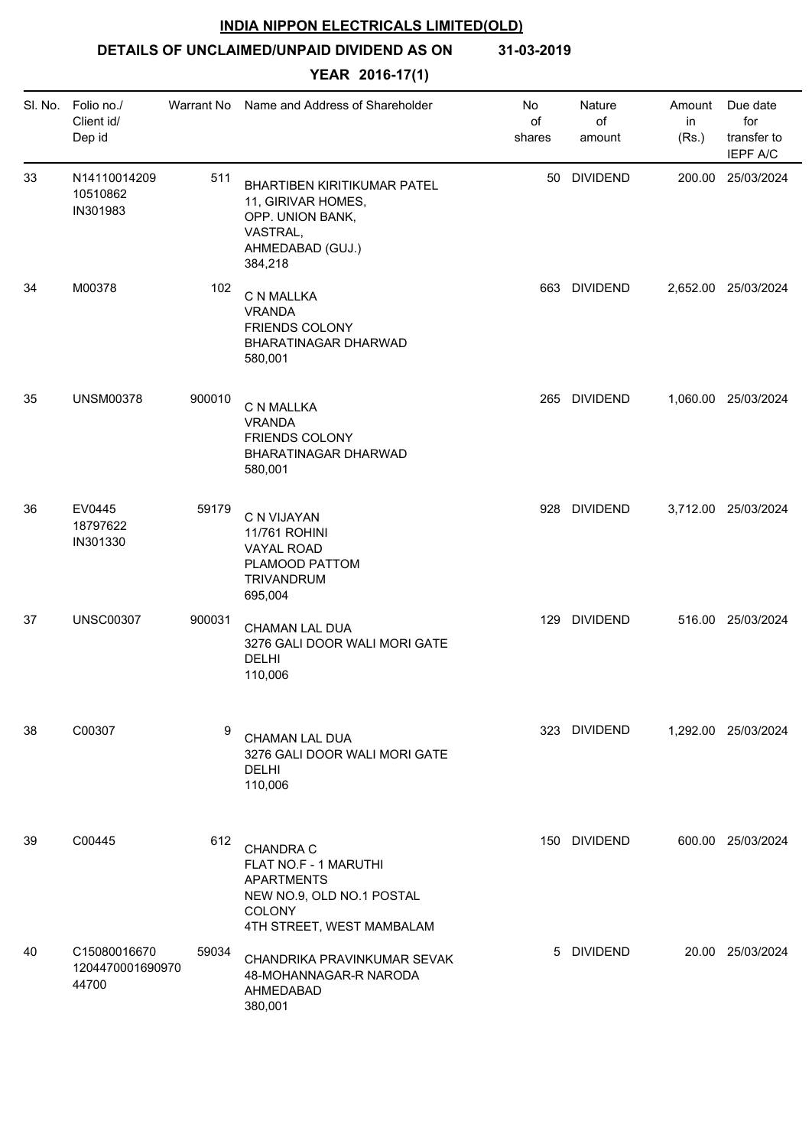**DETAILS OF UNCLAIMED/UNPAID DIVIDEND AS ON 31-03-2019**

|    | SI. No. Folio no./<br>Client id/<br>Dep id |        | Warrant No Name and Address of Shareholder                                                                              | No<br>of<br>shares | Nature<br>of<br>amount | Amount<br>in<br>(Rs.) | Due date<br>for<br>transfer to<br>IEPF A/C |
|----|--------------------------------------------|--------|-------------------------------------------------------------------------------------------------------------------------|--------------------|------------------------|-----------------------|--------------------------------------------|
| 33 | N14110014209<br>10510862<br>IN301983       | 511    | <b>BHARTIBEN KIRITIKUMAR PATEL</b><br>11, GIRIVAR HOMES,<br>OPP. UNION BANK,<br>VASTRAL,<br>AHMEDABAD (GUJ.)<br>384,218 |                    | 50 DIVIDEND            |                       | 200.00 25/03/2024                          |
| 34 | M00378                                     | 102    | C N MALLKA<br><b>VRANDA</b><br><b>FRIENDS COLONY</b><br>BHARATINAGAR DHARWAD<br>580,001                                 |                    | 663 DIVIDEND           |                       | 2,652.00 25/03/2024                        |
| 35 | <b>UNSM00378</b>                           | 900010 | C N MALLKA<br><b>VRANDA</b><br><b>FRIENDS COLONY</b><br>BHARATINAGAR DHARWAD<br>580,001                                 |                    | 265 DIVIDEND           |                       | 1,060.00 25/03/2024                        |
| 36 | EV0445<br>18797622<br>IN301330             | 59179  | C N VIJAYAN<br>11/761 ROHINI<br>VAYAL ROAD<br>PLAMOOD PATTOM<br>TRIVANDRUM<br>695,004                                   |                    | 928 DIVIDEND           |                       | 3,712.00 25/03/2024                        |
| 37 | <b>UNSC00307</b>                           | 900031 | <b>CHAMAN LAL DUA</b><br>3276 GALI DOOR WALI MORI GATE<br><b>DELHI</b><br>110,006                                       |                    | 129 DIVIDEND           |                       | 516.00 25/03/2024                          |
| 38 | C00307                                     | 9      | CHAMAN LAL DUA<br>3276 GALI DOOR WALI MORI GATE<br>DELHI<br>110,006                                                     |                    | 323 DIVIDEND           |                       | 1,292.00 25/03/2024                        |
| 39 | C00445                                     | 612    | CHANDRA C<br>FLAT NO.F - 1 MARUTHI<br>APARTMENTS<br>NEW NO.9, OLD NO.1 POSTAL<br>COLONY<br>4TH STREET, WEST MAMBALAM    |                    | 150 DIVIDEND           |                       | 600.00 25/03/2024                          |
| 40 | C15080016670<br>1204470001690970<br>44700  | 59034  | CHANDRIKA PRAVINKUMAR SEVAK<br>48-MOHANNAGAR-R NARODA<br>AHMEDABAD<br>380,001                                           |                    | 5 DIVIDEND             |                       | 20.00 25/03/2024                           |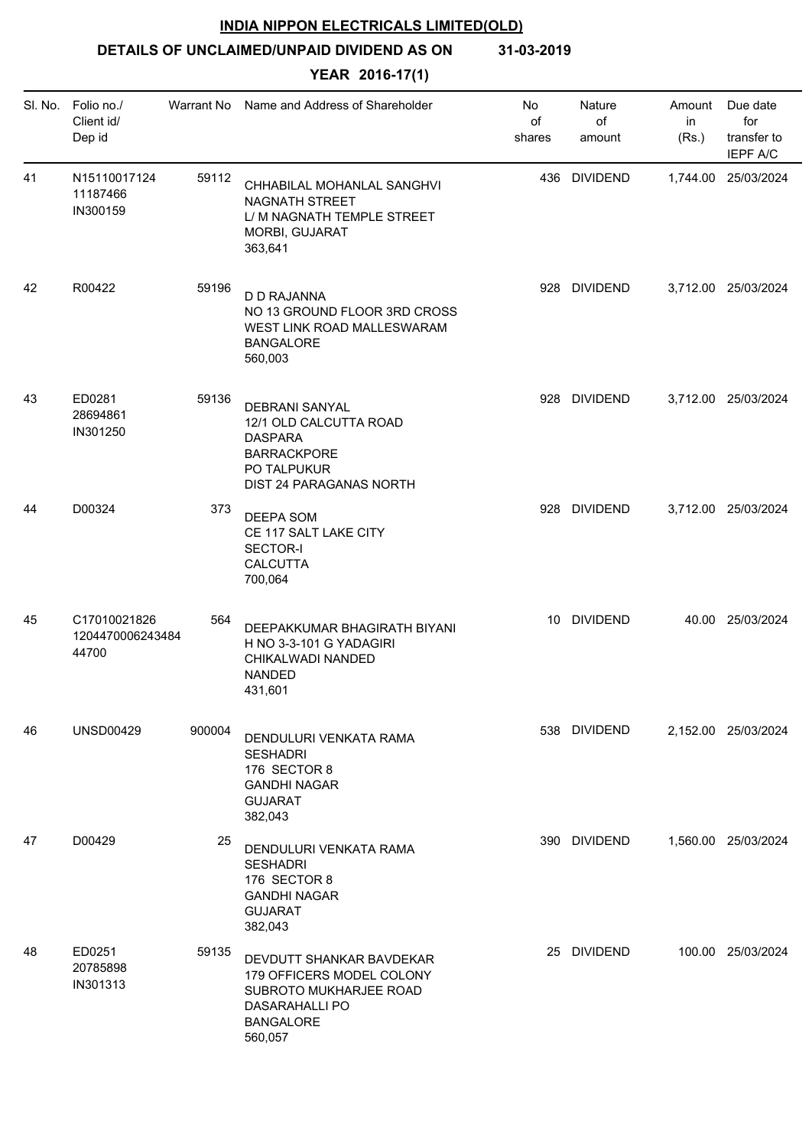**DETAILS OF UNCLAIMED/UNPAID DIVIDEND AS ON 31-03-2019**

| SI. No. | Folio no./<br>Client id/<br>Dep id        | Warrant No | Name and Address of Shareholder                                                                                                         | No<br>of<br>shares | Nature<br>of<br>amount | Amount<br>in<br>(Rs.) | Due date<br>for<br>transfer to<br><b>IEPF A/C</b> |
|---------|-------------------------------------------|------------|-----------------------------------------------------------------------------------------------------------------------------------------|--------------------|------------------------|-----------------------|---------------------------------------------------|
| 41      | N15110017124<br>11187466<br>IN300159      | 59112      | CHHABILAL MOHANLAL SANGHVI<br><b>NAGNATH STREET</b><br>L/ M NAGNATH TEMPLE STREET<br>MORBI, GUJARAT<br>363,641                          |                    | 436 DIVIDEND           |                       | 1,744.00 25/03/2024                               |
| 42      | R00422                                    | 59196      | D D RAJANNA<br>NO 13 GROUND FLOOR 3RD CROSS<br>WEST LINK ROAD MALLESWARAM<br><b>BANGALORE</b><br>560,003                                |                    | 928 DIVIDEND           |                       | 3,712.00 25/03/2024                               |
| 43      | ED0281<br>28694861<br>IN301250            | 59136      | <b>DEBRANI SANYAL</b><br>12/1 OLD CALCUTTA ROAD<br><b>DASPARA</b><br><b>BARRACKPORE</b><br>PO TALPUKUR<br>DIST 24 PARAGANAS NORTH       |                    | 928 DIVIDEND           |                       | 3,712.00 25/03/2024                               |
| 44      | D00324                                    | 373        | DEEPA SOM<br>CE 117 SALT LAKE CITY<br><b>SECTOR-I</b><br><b>CALCUTTA</b><br>700,064                                                     |                    | 928 DIVIDEND           |                       | 3,712.00 25/03/2024                               |
| 45      | C17010021826<br>1204470006243484<br>44700 | 564        | DEEPAKKUMAR BHAGIRATH BIYANI<br>H NO 3-3-101 G YADAGIRI<br>CHIKALWADI NANDED<br><b>NANDED</b><br>431,601                                |                    | 10 DIVIDEND            |                       | 40.00 25/03/2024                                  |
| 46      | <b>UNSD00429</b>                          | 900004     | DENDULURI VENKATA RAMA<br><b>SESHADRI</b><br>176 SECTOR 8<br><b>GANDHI NAGAR</b><br><b>GUJARAT</b><br>382,043                           |                    | 538 DIVIDEND           |                       | 2.152.00 25/03/2024                               |
| 47      | D00429                                    | 25         | DENDULURI VENKATA RAMA<br><b>SESHADRI</b><br>176 SECTOR 8<br><b>GANDHI NAGAR</b><br><b>GUJARAT</b><br>382,043                           |                    | 390 DIVIDEND           |                       | 1,560.00 25/03/2024                               |
| 48      | ED0251<br>20785898<br>IN301313            | 59135      | DEVDUTT SHANKAR BAVDEKAR<br>179 OFFICERS MODEL COLONY<br>SUBROTO MUKHARJEE ROAD<br><b>DASARAHALLI PO</b><br><b>BANGALORE</b><br>560,057 |                    | 25 DIVIDEND            |                       | 100.00 25/03/2024                                 |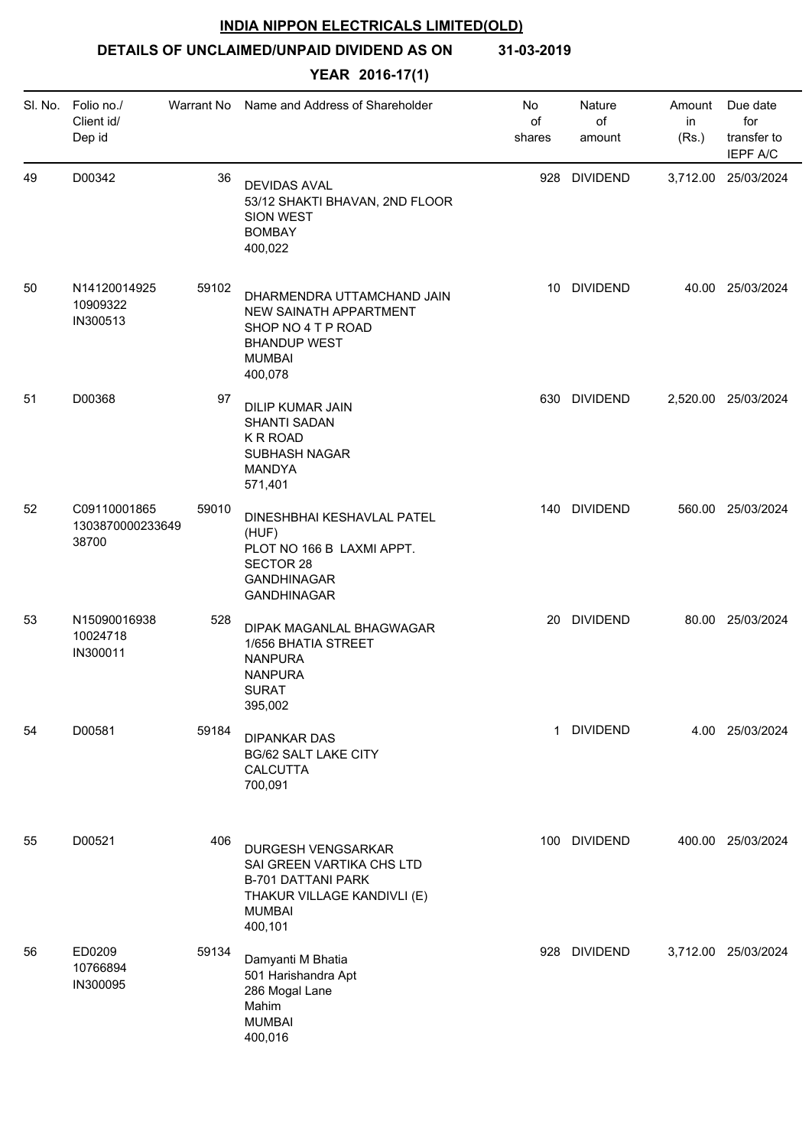**DETAILS OF UNCLAIMED/UNPAID DIVIDEND AS ON 31-03-2019**

| SI. No. | Folio no./<br>Client id/<br>Dep id        | Warrant No | Name and Address of Shareholder                                                                                                         | No<br>of<br>shares | Nature<br>of<br>amount | Amount<br>in<br>(Rs.) | Due date<br>for<br>transfer to<br><b>IEPF A/C</b> |
|---------|-------------------------------------------|------------|-----------------------------------------------------------------------------------------------------------------------------------------|--------------------|------------------------|-----------------------|---------------------------------------------------|
| 49      | D00342                                    | 36         | <b>DEVIDAS AVAL</b><br>53/12 SHAKTI BHAVAN, 2ND FLOOR<br><b>SION WEST</b><br><b>BOMBAY</b><br>400,022                                   | 928                | <b>DIVIDEND</b>        |                       | 3,712.00 25/03/2024                               |
| 50      | N14120014925<br>10909322<br>IN300513      | 59102      | DHARMENDRA UTTAMCHAND JAIN<br>NEW SAINATH APPARTMENT<br>SHOP NO 4 T P ROAD<br><b>BHANDUP WEST</b><br><b>MUMBAI</b><br>400,078           |                    | 10 DIVIDEND            |                       | 40.00 25/03/2024                                  |
| 51      | D00368                                    | 97         | <b>DILIP KUMAR JAIN</b><br><b>SHANTI SADAN</b><br>K R ROAD<br>SUBHASH NAGAR<br>MANDYA<br>571,401                                        |                    | 630 DIVIDEND           |                       | 2,520.00 25/03/2024                               |
| 52      | C09110001865<br>1303870000233649<br>38700 | 59010      | DINESHBHAI KESHAVLAL PATEL<br>(HUF)<br>PLOT NO 166 B LAXMI APPT.<br><b>SECTOR 28</b><br><b>GANDHINAGAR</b><br>GANDHINAGAR               |                    | 140 DIVIDEND           |                       | 560.00 25/03/2024                                 |
| 53      | N15090016938<br>10024718<br>IN300011      | 528        | DIPAK MAGANLAL BHAGWAGAR<br>1/656 BHATIA STREET<br><b>NANPURA</b><br><b>NANPURA</b><br><b>SURAT</b><br>395,002                          |                    | 20 DIVIDEND            |                       | 80.00 25/03/2024                                  |
| 54      | D00581                                    | 59184      | <b>DIPANKAR DAS</b><br><b>BG/62 SALT LAKE CITY</b><br><b>CALCUTTA</b><br>700,091                                                        | $\mathbf 1$        | <b>DIVIDEND</b>        |                       | 4.00 25/03/2024                                   |
| 55      | D00521                                    | 406        | DURGESH VENGSARKAR<br>SAI GREEN VARTIKA CHS LTD<br><b>B-701 DATTANI PARK</b><br>THAKUR VILLAGE KANDIVLI (E)<br><b>MUMBAI</b><br>400,101 |                    | 100 DIVIDEND           |                       | 400.00 25/03/2024                                 |
| 56      | ED0209<br>10766894<br>IN300095            | 59134      | Damyanti M Bhatia<br>501 Harishandra Apt<br>286 Mogal Lane<br>Mahim<br><b>MUMBAI</b><br>400,016                                         | 928                | <b>DIVIDEND</b>        |                       | 3,712.00 25/03/2024                               |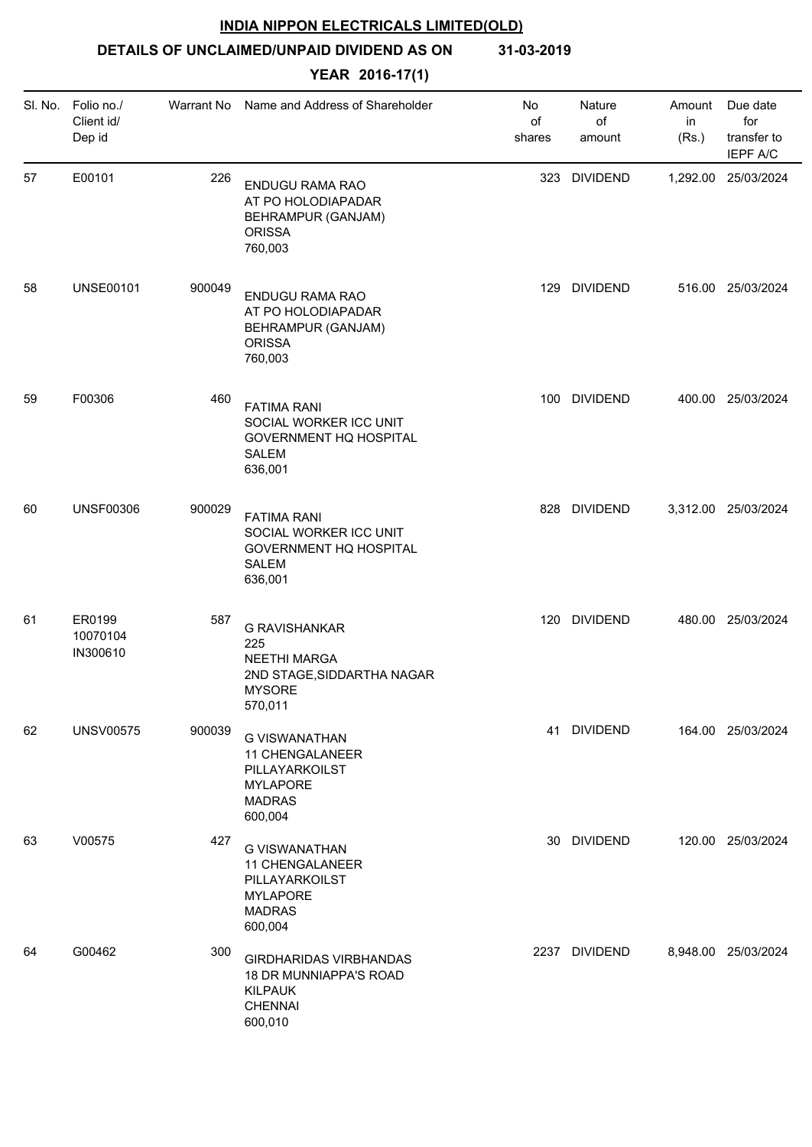**DETAILS OF UNCLAIMED/UNPAID DIVIDEND AS ON 31-03-2019**

| SI. No. | Folio no./<br>Client id/<br>Dep id | Warrant No | Name and Address of Shareholder                                                                              | No<br>of<br>shares | Nature<br>of<br>amount | Amount<br>in<br>(Rs.) | Due date<br>for<br>transfer to<br><b>IEPF A/C</b> |
|---------|------------------------------------|------------|--------------------------------------------------------------------------------------------------------------|--------------------|------------------------|-----------------------|---------------------------------------------------|
| 57      | E00101                             | 226        | <b>ENDUGU RAMA RAO</b><br>AT PO HOLODIAPADAR<br>BEHRAMPUR (GANJAM)<br><b>ORISSA</b><br>760,003               | 323                | <b>DIVIDEND</b>        |                       | 1,292.00 25/03/2024                               |
| 58      | <b>UNSE00101</b>                   | 900049     | ENDUGU RAMA RAO<br>AT PO HOLODIAPADAR<br>BEHRAMPUR (GANJAM)<br><b>ORISSA</b><br>760,003                      | 129                | <b>DIVIDEND</b>        |                       | 516.00 25/03/2024                                 |
| 59      | F00306                             | 460        | <b>FATIMA RANI</b><br>SOCIAL WORKER ICC UNIT<br><b>GOVERNMENT HQ HOSPITAL</b><br><b>SALEM</b><br>636,001     | 100                | <b>DIVIDEND</b>        |                       | 400.00 25/03/2024                                 |
| 60      | <b>UNSF00306</b>                   | 900029     | <b>FATIMA RANI</b><br>SOCIAL WORKER ICC UNIT<br><b>GOVERNMENT HQ HOSPITAL</b><br><b>SALEM</b><br>636,001     |                    | 828 DIVIDEND           |                       | 3,312.00 25/03/2024                               |
| 61      | ER0199<br>10070104<br>IN300610     | 587        | <b>G RAVISHANKAR</b><br>225<br><b>NEETHI MARGA</b><br>2ND STAGE, SIDDARTHA NAGAR<br><b>MYSORE</b><br>570,011 | 120                | <b>DIVIDEND</b>        |                       | 480.00 25/03/2024                                 |
| 62      | <b>UNSV00575</b>                   | 900039     | <b>G VISWANATHAN</b><br>11 CHENGALANEER<br>PILLAYARKOILST<br><b>MYLAPORE</b><br><b>MADRAS</b><br>600,004     |                    | 41 DIVIDEND            |                       | 164.00 25/03/2024                                 |
| 63      | V00575                             | 427        | <b>G VISWANATHAN</b><br>11 CHENGALANEER<br>PILLAYARKOILST<br><b>MYLAPORE</b><br><b>MADRAS</b><br>600,004     |                    | 30 DIVIDEND            |                       | 120.00 25/03/2024                                 |
| 64      | G00462                             | 300        | <b>GIRDHARIDAS VIRBHANDAS</b><br>18 DR MUNNIAPPA'S ROAD<br><b>KILPAUK</b><br><b>CHENNAI</b><br>600,010       |                    | 2237 DIVIDEND          |                       | 8,948.00 25/03/2024                               |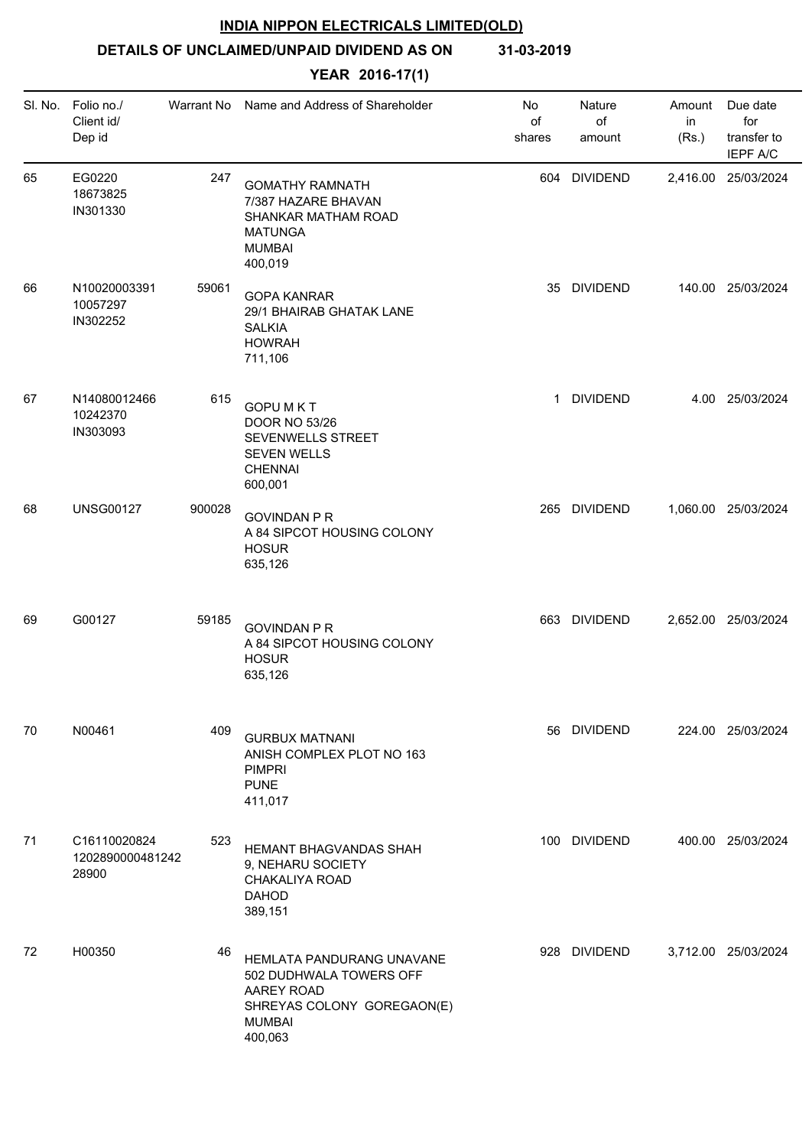**DETAILS OF UNCLAIMED/UNPAID DIVIDEND AS ON 31-03-2019**

|    | SI. No. Folio no./<br>Client id/<br>Dep id | Warrant No | Name and Address of Shareholder                                                                                              | No<br>of<br>shares | Nature<br>of<br>amount | Amount<br>in<br>(Rs.) | Due date<br>for<br>transfer to<br><b>IEPF A/C</b> |
|----|--------------------------------------------|------------|------------------------------------------------------------------------------------------------------------------------------|--------------------|------------------------|-----------------------|---------------------------------------------------|
| 65 | EG0220<br>18673825<br>IN301330             | 247        | <b>GOMATHY RAMNATH</b><br>7/387 HAZARE BHAVAN<br>SHANKAR MATHAM ROAD<br><b>MATUNGA</b><br><b>MUMBAI</b><br>400,019           |                    | 604 DIVIDEND           |                       | 2,416.00 25/03/2024                               |
| 66 | N10020003391<br>10057297<br>IN302252       | 59061      | <b>GOPA KANRAR</b><br>29/1 BHAIRAB GHATAK LANE<br><b>SALKIA</b><br><b>HOWRAH</b><br>711,106                                  |                    | 35 DIVIDEND            |                       | 140.00 25/03/2024                                 |
| 67 | N14080012466<br>10242370<br>IN303093       | 615        | <b>GOPU MKT</b><br><b>DOOR NO 53/26</b><br><b>SEVENWELLS STREET</b><br><b>SEVEN WELLS</b><br><b>CHENNAI</b><br>600,001       | $\mathbf 1$        | <b>DIVIDEND</b>        |                       | 4.00 25/03/2024                                   |
| 68 | <b>UNSG00127</b>                           | 900028     | <b>GOVINDAN P R</b><br>A 84 SIPCOT HOUSING COLONY<br><b>HOSUR</b><br>635,126                                                 |                    | 265 DIVIDEND           |                       | 1,060.00 25/03/2024                               |
| 69 | G00127                                     | 59185      | <b>GOVINDAN P R</b><br>A 84 SIPCOT HOUSING COLONY<br><b>HOSUR</b><br>635,126                                                 |                    | 663 DIVIDEND           |                       | 2,652.00 25/03/2024                               |
| 70 | N00461                                     | 409        | <b>GURBUX MATNANI</b><br>ANISH COMPLEX PLOT NO 163<br><b>PIMPRI</b><br><b>PUNE</b><br>411,017                                |                    | 56 DIVIDEND            |                       | 224.00 25/03/2024                                 |
| 71 | C16110020824<br>1202890000481242<br>28900  | 523        | <b>HEMANT BHAGVANDAS SHAH</b><br>9, NEHARU SOCIETY<br>CHAKALIYA ROAD<br><b>DAHOD</b><br>389,151                              |                    | 100 DIVIDEND           |                       | 400.00 25/03/2024                                 |
| 72 | H00350                                     | 46         | HEMLATA PANDURANG UNAVANE<br>502 DUDHWALA TOWERS OFF<br>AAREY ROAD<br>SHREYAS COLONY GOREGAON(E)<br><b>MUMBAI</b><br>400,063 |                    | 928 DIVIDEND           |                       | 3,712.00 25/03/2024                               |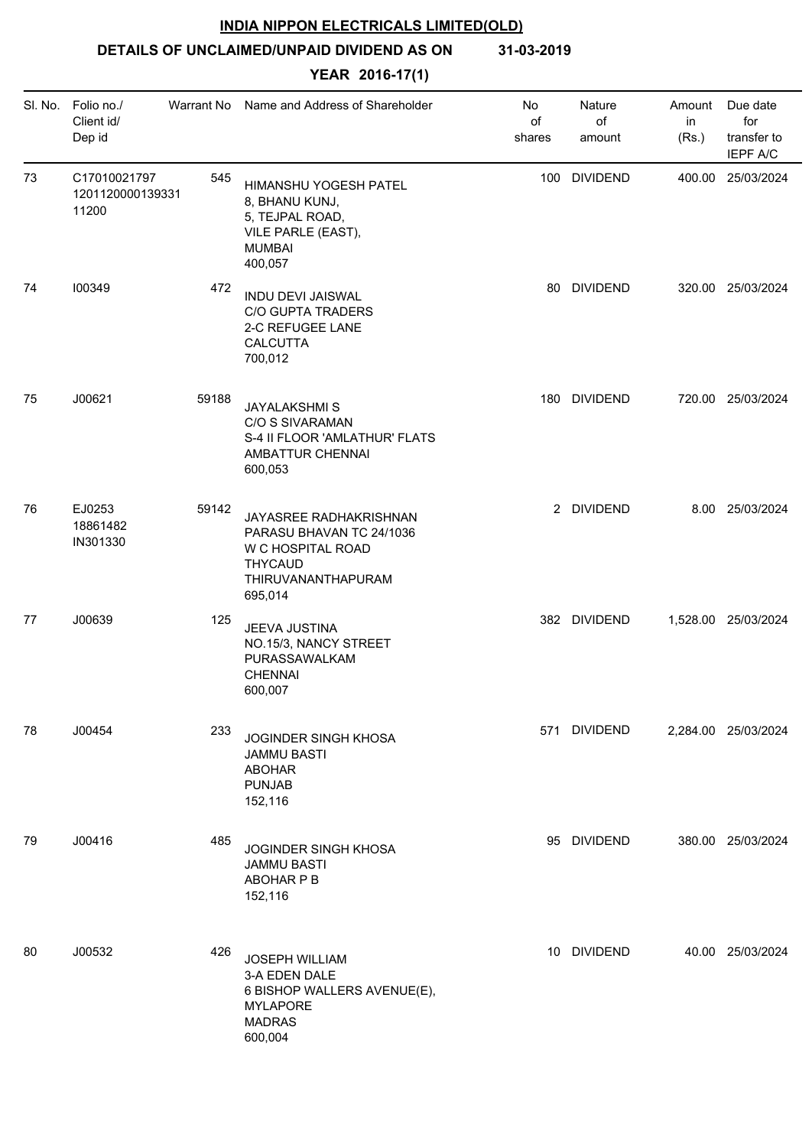# **DETAILS OF UNCLAIMED/UNPAID DIVIDEND AS ON 31-03-2019**

|    | SI. No. Folio no./<br>Client id/<br>Dep id | Warrant No | Name and Address of Shareholder                                                                                            | No<br>of<br>shares | Nature<br>of<br>amount | Amount<br>in<br>(Rs.) | Due date<br>for<br>transfer to<br><b>IEPF A/C</b> |
|----|--------------------------------------------|------------|----------------------------------------------------------------------------------------------------------------------------|--------------------|------------------------|-----------------------|---------------------------------------------------|
| 73 | C17010021797<br>1201120000139331<br>11200  | 545        | HIMANSHU YOGESH PATEL<br>8, BHANU KUNJ,<br>5, TEJPAL ROAD,<br>VILE PARLE (EAST),<br><b>MUMBAI</b><br>400,057               |                    | 100 DIVIDEND           |                       | 400.00 25/03/2024                                 |
| 74 | 100349                                     | 472        | <b>INDU DEVI JAISWAL</b><br><b>C/O GUPTA TRADERS</b><br>2-C REFUGEE LANE<br><b>CALCUTTA</b><br>700,012                     | 80                 | <b>DIVIDEND</b>        |                       | 320.00 25/03/2024                                 |
| 75 | J00621                                     | 59188      | <b>JAYALAKSHMIS</b><br>C/O S SIVARAMAN<br>S-4 II FLOOR 'AMLATHUR' FLATS<br>AMBATTUR CHENNAI<br>600,053                     | 180                | <b>DIVIDEND</b>        |                       | 720.00 25/03/2024                                 |
| 76 | EJ0253<br>18861482<br>IN301330             | 59142      | JAYASREE RADHAKRISHNAN<br>PARASU BHAVAN TC 24/1036<br>W C HOSPITAL ROAD<br><b>THYCAUD</b><br>THIRUVANANTHAPURAM<br>695,014 |                    | 2 DIVIDEND             |                       | 8.00 25/03/2024                                   |
| 77 | J00639                                     | 125        | JEEVA JUSTINA<br>NO.15/3, NANCY STREET<br>PURASSAWALKAM<br><b>CHENNAI</b><br>600,007                                       |                    | 382 DIVIDEND           |                       | 1,528.00 25/03/2024                               |
| 78 | J00454                                     | 233        | JOGINDER SINGH KHOSA<br><b>JAMMU BASTI</b><br><b>ABOHAR</b><br><b>PUNJAB</b><br>152,116                                    |                    | 571 DIVIDEND           |                       | 2,284.00 25/03/2024                               |
| 79 | J00416                                     | 485        | <b>JOGINDER SINGH KHOSA</b><br><b>JAMMU BASTI</b><br>ABOHAR P B<br>152,116                                                 |                    | 95 DIVIDEND            |                       | 380.00 25/03/2024                                 |
| 80 | J00532                                     | 426        | JOSEPH WILLIAM<br>3-A EDEN DALE<br>6 BISHOP WALLERS AVENUE(E),<br><b>MYLAPORE</b><br><b>MADRAS</b><br>600,004              |                    | 10 DIVIDEND            |                       | 40.00 25/03/2024                                  |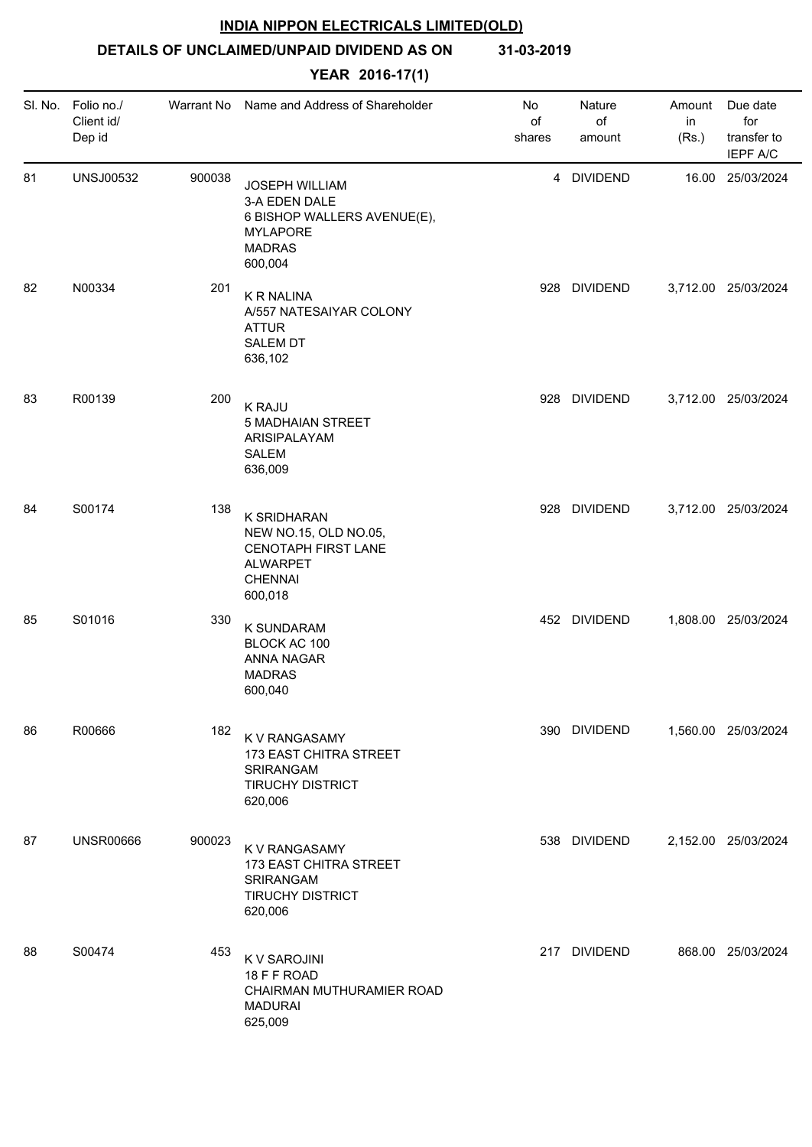**DETAILS OF UNCLAIMED/UNPAID DIVIDEND AS ON 31-03-2019**

|    | SI. No. Folio no./<br>Client id/<br>Dep id | Warrant No | Name and Address of Shareholder                                                                                      | No<br>of<br>shares | Nature<br>of<br>amount | Amount<br>in<br>(Rs.) | Due date<br>for<br>transfer to<br>IEPF A/C |
|----|--------------------------------------------|------------|----------------------------------------------------------------------------------------------------------------------|--------------------|------------------------|-----------------------|--------------------------------------------|
| 81 | <b>UNSJ00532</b>                           | 900038     | <b>JOSEPH WILLIAM</b><br>3-A EDEN DALE<br>6 BISHOP WALLERS AVENUE(E),<br><b>MYLAPORE</b><br><b>MADRAS</b><br>600,004 |                    | 4 DIVIDEND             |                       | 16.00 25/03/2024                           |
| 82 | N00334                                     | 201        | <b>K R NALINA</b><br>A/557 NATESAIYAR COLONY<br><b>ATTUR</b><br><b>SALEM DT</b><br>636,102                           |                    | 928 DIVIDEND           |                       | 3,712.00 25/03/2024                        |
| 83 | R00139                                     | 200        | <b>K RAJU</b><br><b>5 MADHAIAN STREET</b><br>ARISIPALAYAM<br><b>SALEM</b><br>636,009                                 |                    | 928 DIVIDEND           |                       | 3,712.00 25/03/2024                        |
| 84 | S00174                                     | 138        | K SRIDHARAN<br>NEW NO.15, OLD NO.05,<br>CENOTAPH FIRST LANE<br><b>ALWARPET</b><br><b>CHENNAI</b><br>600,018          |                    | 928 DIVIDEND           |                       | 3,712.00 25/03/2024                        |
| 85 | S01016                                     | 330        | <b>K SUNDARAM</b><br>BLOCK AC 100<br>ANNA NAGAR<br><b>MADRAS</b><br>600,040                                          |                    | 452 DIVIDEND           |                       | 1,808.00 25/03/2024                        |
| 86 | R00666                                     | 182        | K V RANGASAMY<br>173 EAST CHITRA STREET<br><b>SRIRANGAM</b><br><b>TIRUCHY DISTRICT</b><br>620,006                    |                    | 390 DIVIDEND           |                       | 1,560.00 25/03/2024                        |
| 87 | <b>UNSR00666</b>                           | 900023     | K V RANGASAMY<br>173 EAST CHITRA STREET<br>SRIRANGAM<br><b>TIRUCHY DISTRICT</b><br>620,006                           |                    | 538 DIVIDEND           |                       | 2,152.00 25/03/2024                        |
| 88 | S00474                                     | 453        | K V SAROJINI<br>18 F F ROAD<br>CHAIRMAN MUTHURAMIER ROAD<br><b>MADURAI</b><br>625,009                                |                    | 217 DIVIDEND           |                       | 868.00 25/03/2024                          |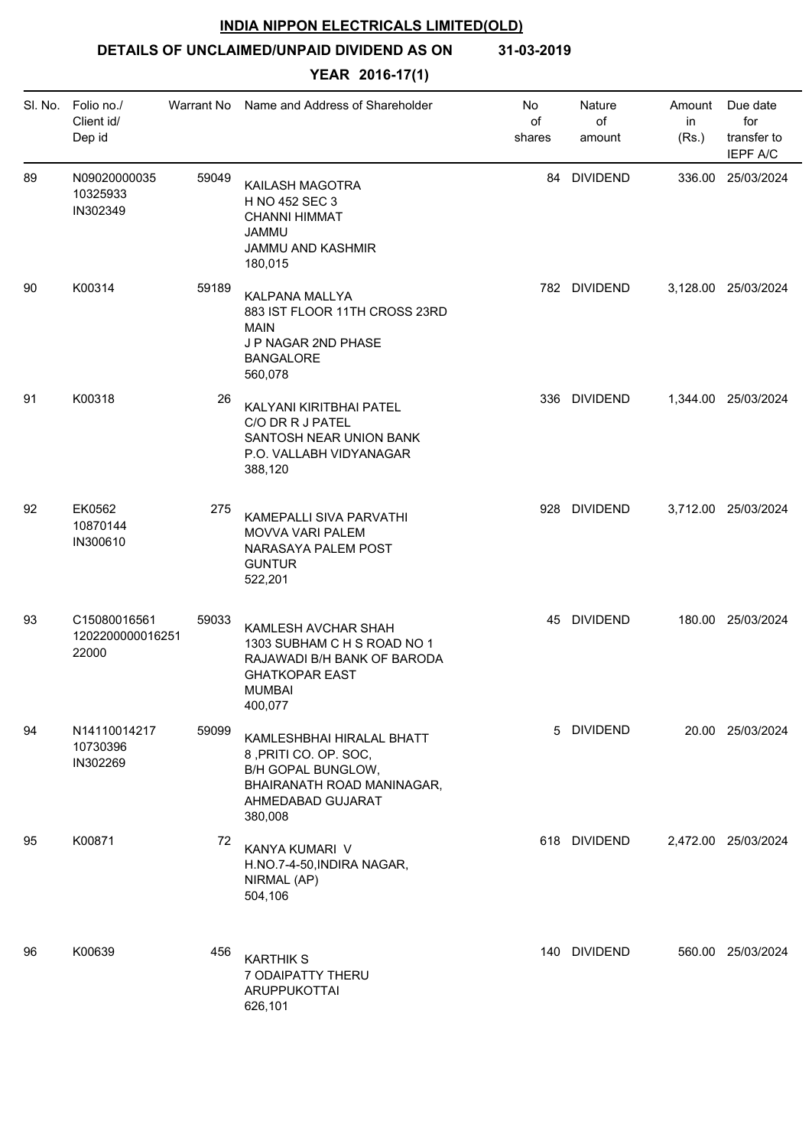**DETAILS OF UNCLAIMED/UNPAID DIVIDEND AS ON 31-03-2019**

|    | SI. No. Folio no./<br>Client id/<br>Dep id | Warrant No | Name and Address of Shareholder                                                                                                               | No<br>of<br>shares | Nature<br>of<br>amount | Amount<br>in<br>(Rs.) | Due date<br>for<br>transfer to<br><b>IEPF A/C</b> |
|----|--------------------------------------------|------------|-----------------------------------------------------------------------------------------------------------------------------------------------|--------------------|------------------------|-----------------------|---------------------------------------------------|
| 89 | N09020000035<br>10325933<br>IN302349       | 59049      | KAILASH MAGOTRA<br>H NO 452 SEC 3<br><b>CHANNI HIMMAT</b><br><b>JAMMU</b><br>JAMMU AND KASHMIR<br>180,015                                     |                    | 84 DIVIDEND            |                       | 336.00 25/03/2024                                 |
| 90 | K00314                                     | 59189      | KALPANA MALLYA<br>883 IST FLOOR 11TH CROSS 23RD<br><b>MAIN</b><br>J P NAGAR 2ND PHASE<br><b>BANGALORE</b><br>560,078                          |                    | 782 DIVIDEND           |                       | 3,128.00 25/03/2024                               |
| 91 | K00318                                     | 26         | KALYANI KIRITBHAI PATEL<br>C/O DR R J PATEL<br>SANTOSH NEAR UNION BANK<br>P.O. VALLABH VIDYANAGAR<br>388,120                                  |                    | 336 DIVIDEND           |                       | 1,344.00 25/03/2024                               |
| 92 | EK0562<br>10870144<br>IN300610             | 275        | <b>KAMEPALLI SIVA PARVATHI</b><br><b>MOVVA VARI PALEM</b><br>NARASAYA PALEM POST<br><b>GUNTUR</b><br>522,201                                  |                    | 928 DIVIDEND           |                       | 3,712.00 25/03/2024                               |
| 93 | C15080016561<br>1202200000016251<br>22000  | 59033      | KAMLESH AVCHAR SHAH<br>1303 SUBHAM C H S ROAD NO 1<br>RAJAWADI B/H BANK OF BARODA<br><b>GHATKOPAR EAST</b><br><b>MUMBAI</b><br>400,077        |                    | 45 DIVIDEND            |                       | 180.00 25/03/2024                                 |
| 94 | N14110014217<br>10730396<br>IN302269       | 59099      | KAMLESHBHAI HIRALAL BHATT<br>8, PRITI CO. OP. SOC,<br><b>B/H GOPAL BUNGLOW,</b><br>BHAIRANATH ROAD MANINAGAR,<br>AHMEDABAD GUJARAT<br>380,008 |                    | 5 DIVIDEND             |                       | 20.00 25/03/2024                                  |
| 95 | K00871                                     | 72         | KANYA KUMARI V<br>H.NO.7-4-50, INDIRA NAGAR,<br>NIRMAL (AP)<br>504,106                                                                        |                    | 618 DIVIDEND           |                       | 2,472.00 25/03/2024                               |
| 96 | K00639                                     | 456        | <b>KARTHIK S</b><br>7 ODAIPATTY THERU<br>ARUPPUKOTTAI<br>626,101                                                                              |                    | 140 DIVIDEND           |                       | 560.00 25/03/2024                                 |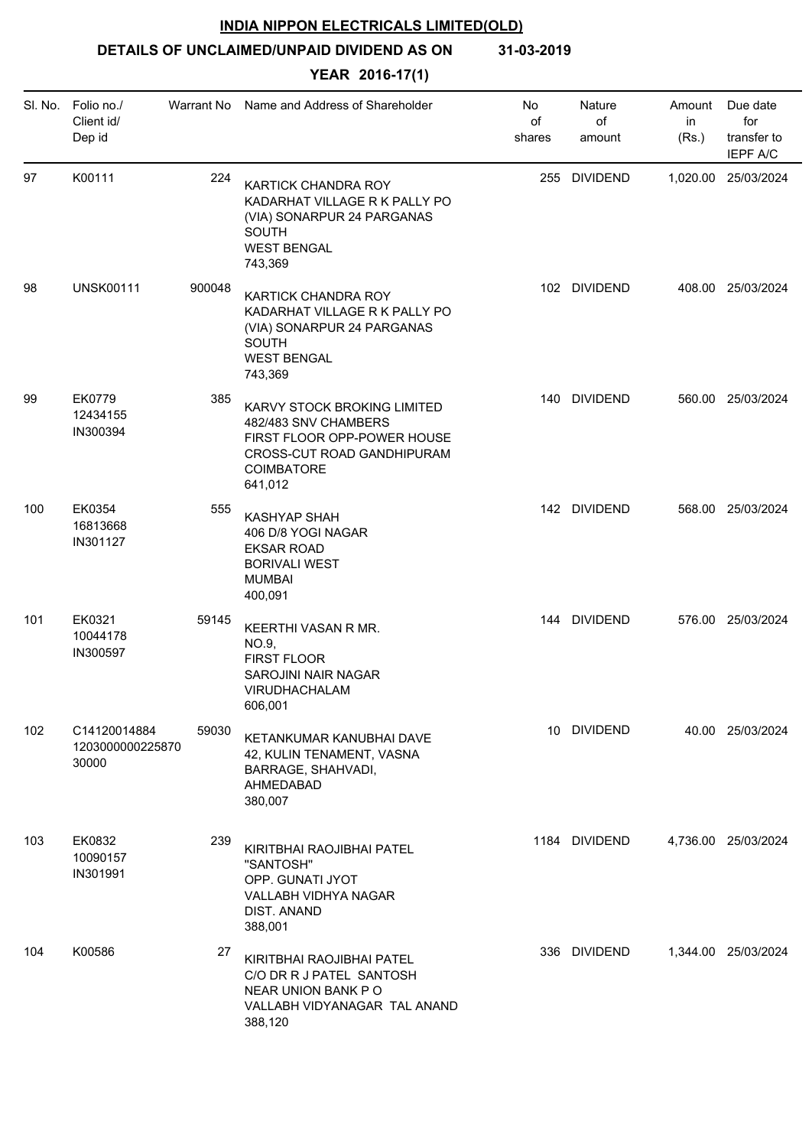# **DETAILS OF UNCLAIMED/UNPAID DIVIDEND AS ON 31-03-2019**

| SI. No. | Folio no./<br>Client id/<br>Dep id        | Warrant No | Name and Address of Shareholder                                                                                                                         | No<br>of<br>shares | Nature<br>of<br>amount | Amount<br>in<br>(Rs.) | Due date<br>for<br>transfer to<br><b>IEPF A/C</b> |
|---------|-------------------------------------------|------------|---------------------------------------------------------------------------------------------------------------------------------------------------------|--------------------|------------------------|-----------------------|---------------------------------------------------|
| 97      | K00111                                    | 224        | <b>KARTICK CHANDRA ROY</b><br>KADARHAT VILLAGE R K PALLY PO<br>(VIA) SONARPUR 24 PARGANAS<br><b>SOUTH</b><br><b>WEST BENGAL</b><br>743,369              |                    | 255 DIVIDEND           |                       | 1,020.00 25/03/2024                               |
| 98      | <b>UNSK00111</b>                          | 900048     | KARTICK CHANDRA ROY<br>KADARHAT VILLAGE R K PALLY PO<br>(VIA) SONARPUR 24 PARGANAS<br><b>SOUTH</b><br><b>WEST BENGAL</b><br>743,369                     |                    | 102 DIVIDEND           |                       | 408.00 25/03/2024                                 |
| 99      | EK0779<br>12434155<br>IN300394            | 385        | KARVY STOCK BROKING LIMITED<br>482/483 SNV CHAMBERS<br>FIRST FLOOR OPP-POWER HOUSE<br><b>CROSS-CUT ROAD GANDHIPURAM</b><br><b>COIMBATORE</b><br>641,012 |                    | 140 DIVIDEND           |                       | 560.00 25/03/2024                                 |
| 100     | EK0354<br>16813668<br>IN301127            | 555        | <b>KASHYAP SHAH</b><br>406 D/8 YOGI NAGAR<br><b>EKSAR ROAD</b><br><b>BORIVALI WEST</b><br><b>MUMBAI</b><br>400,091                                      |                    | 142 DIVIDEND           |                       | 568.00 25/03/2024                                 |
| 101     | EK0321<br>10044178<br>IN300597            | 59145      | KEERTHI VASAN R MR.<br>NO.9,<br>FIRST FLOOR<br><b>SAROJINI NAIR NAGAR</b><br>VIRUDHACHALAM<br>606,001                                                   |                    | 144 DIVIDEND           |                       | 576.00 25/03/2024                                 |
| 102     | C14120014884<br>1203000000225870<br>30000 | 59030      | KETANKUMAR KANUBHAI DAVE<br>42, KULIN TENAMENT, VASNA<br>BARRAGE, SHAHVADI,<br>AHMEDABAD<br>380,007                                                     |                    | 10 DIVIDEND            |                       | 40.00 25/03/2024                                  |
| 103     | EK0832<br>10090157<br>IN301991            | 239        | KIRITBHAI RAOJIBHAI PATEL<br>"SANTOSH"<br>OPP. GUNATI JYOT<br>VALLABH VIDHYA NAGAR<br>DIST. ANAND<br>388,001                                            |                    | 1184 DIVIDEND          |                       | 4,736.00 25/03/2024                               |
| 104     | K00586                                    | 27         | KIRITBHAI RAOJIBHAI PATEL<br>C/O DR R J PATEL SANTOSH<br>NEAR UNION BANK PO<br>VALLABH VIDYANAGAR TAL ANAND<br>388,120                                  |                    | 336 DIVIDEND           |                       | 1,344.00 25/03/2024                               |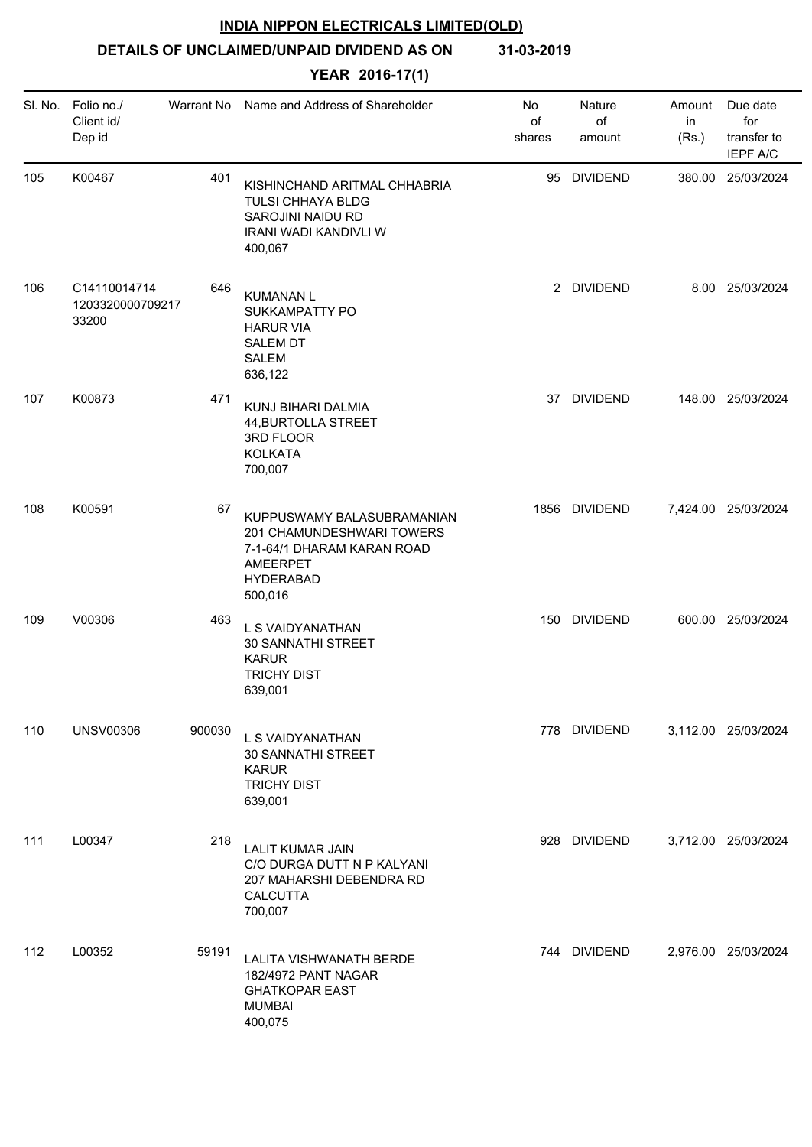# **DETAILS OF UNCLAIMED/UNPAID DIVIDEND AS ON 31-03-2019**

| SI. No. | Folio no./<br>Client id/<br>Dep id        | Warrant No | Name and Address of Shareholder                                                                                                         | No<br>of<br>shares | Nature<br>of<br>amount | Amount<br>in<br>(Rs.) | Due date<br>for<br>transfer to<br><b>IEPF A/C</b> |
|---------|-------------------------------------------|------------|-----------------------------------------------------------------------------------------------------------------------------------------|--------------------|------------------------|-----------------------|---------------------------------------------------|
| 105     | K00467                                    | 401        | KISHINCHAND ARITMAL CHHABRIA<br>TULSI CHHAYA BLDG<br>SAROJINI NAIDU RD<br><b>IRANI WADI KANDIVLI W</b><br>400,067                       | 95                 | <b>DIVIDEND</b>        |                       | 380.00 25/03/2024                                 |
| 106     | C14110014714<br>1203320000709217<br>33200 | 646        | <b>KUMANAN L</b><br><b>SUKKAMPATTY PO</b><br><b>HARUR VIA</b><br><b>SALEM DT</b><br><b>SALEM</b><br>636,122                             |                    | 2 DIVIDEND             |                       | 8.00 25/03/2024                                   |
| 107     | K00873                                    | 471        | KUNJ BIHARI DALMIA<br>44, BURTOLLA STREET<br>3RD FLOOR<br><b>KOLKATA</b><br>700,007                                                     | 37                 | <b>DIVIDEND</b>        |                       | 148.00 25/03/2024                                 |
| 108     | K00591                                    | 67         | KUPPUSWAMY BALASUBRAMANIAN<br>201 CHAMUNDESHWARI TOWERS<br>7-1-64/1 DHARAM KARAN ROAD<br><b>AMEERPET</b><br><b>HYDERABAD</b><br>500,016 |                    | 1856 DIVIDEND          |                       | 7,424.00 25/03/2024                               |
| 109     | V00306                                    | 463        | L S VAIDYANATHAN<br>30 SANNATHI STREET<br><b>KARUR</b><br><b>TRICHY DIST</b><br>639,001                                                 |                    | 150 DIVIDEND           |                       | 600.00 25/03/2024                                 |
| 110     | <b>UNSV00306</b>                          | 900030     | L S VAIDYANATHAN<br><b>30 SANNATHI STREET</b><br><b>KARUR</b><br><b>TRICHY DIST</b><br>639,001                                          |                    | 778 DIVIDEND           |                       | 3,112.00 25/03/2024                               |
| 111     | L00347                                    | 218        | <b>LALIT KUMAR JAIN</b><br>C/O DURGA DUTT N P KALYANI<br>207 MAHARSHI DEBENDRA RD<br><b>CALCUTTA</b><br>700,007                         |                    | 928 DIVIDEND           |                       | 3,712.00 25/03/2024                               |
| 112     | L00352                                    | 59191      | <b>LALITA VISHWANATH BERDE</b><br>182/4972 PANT NAGAR<br><b>GHATKOPAR EAST</b><br><b>MUMBAI</b><br>400,075                              |                    | 744 DIVIDEND           |                       | 2,976.00 25/03/2024                               |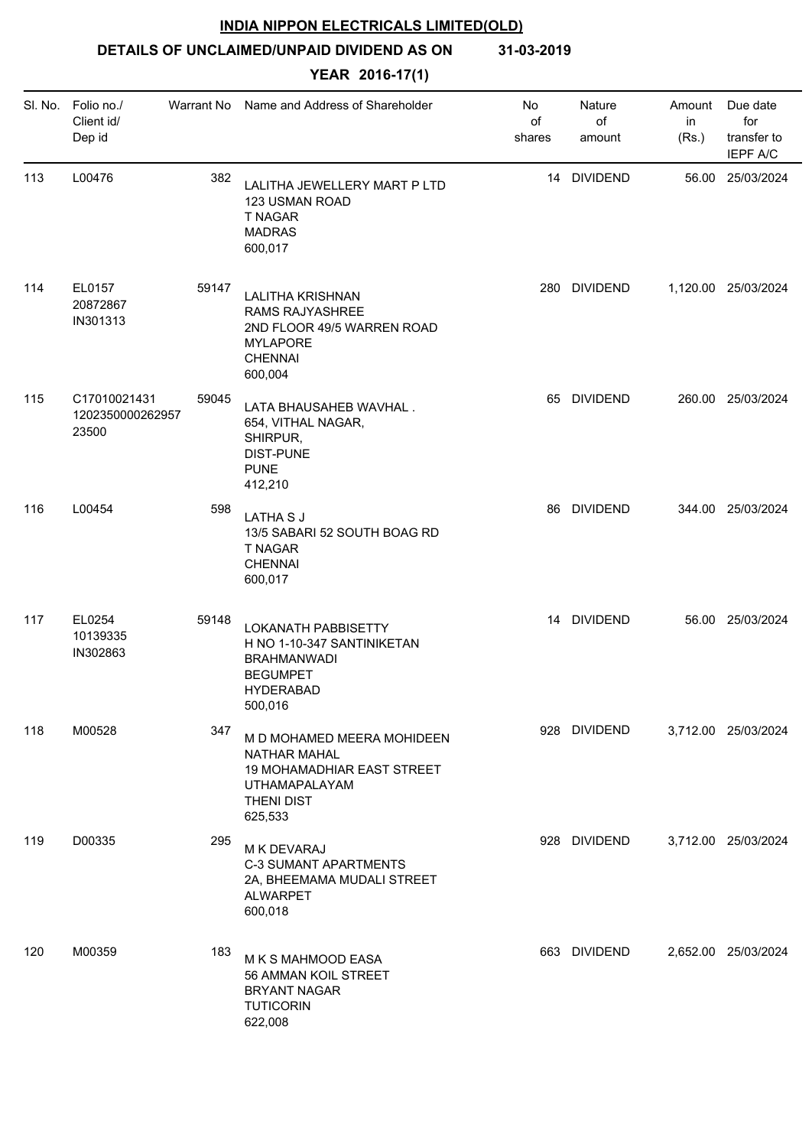**DETAILS OF UNCLAIMED/UNPAID DIVIDEND AS ON 31-03-2019**

| SI. No. | Folio no./<br>Client id/<br>Dep id        | Warrant No | Name and Address of Shareholder                                                                                                                | No<br>of<br>shares | Nature<br>of<br>amount | Amount<br>in<br>(Rs.) | Due date<br>for<br>transfer to<br><b>IEPF A/C</b> |
|---------|-------------------------------------------|------------|------------------------------------------------------------------------------------------------------------------------------------------------|--------------------|------------------------|-----------------------|---------------------------------------------------|
| 113     | L00476                                    | 382        | LALITHA JEWELLERY MART P LTD<br>123 USMAN ROAD<br>T NAGAR<br><b>MADRAS</b><br>600,017                                                          |                    | 14 DIVIDEND            |                       | 56.00 25/03/2024                                  |
| 114     | EL0157<br>20872867<br>IN301313            | 59147      | <b>LALITHA KRISHNAN</b><br>RAMS RAJYASHREE<br>2ND FLOOR 49/5 WARREN ROAD<br><b>MYLAPORE</b><br><b>CHENNAI</b><br>600,004                       | 280                | <b>DIVIDEND</b>        |                       | 1,120.00 25/03/2024                               |
| 115     | C17010021431<br>1202350000262957<br>23500 | 59045      | LATA BHAUSAHEB WAVHAL.<br>654, VITHAL NAGAR,<br>SHIRPUR,<br><b>DIST-PUNE</b><br><b>PUNE</b><br>412,210                                         | 65                 | <b>DIVIDEND</b>        |                       | 260.00 25/03/2024                                 |
| 116     | L00454                                    | 598        | <b>LATHASJ</b><br>13/5 SABARI 52 SOUTH BOAG RD<br>T NAGAR<br><b>CHENNAI</b><br>600,017                                                         |                    | 86 DIVIDEND            |                       | 344.00 25/03/2024                                 |
| 117     | EL0254<br>10139335<br>IN302863            | 59148      | <b>LOKANATH PABBISETTY</b><br>H NO 1-10-347 SANTINIKETAN<br><b>BRAHMANWADI</b><br><b>BEGUMPET</b><br><b>HYDERABAD</b><br>500,016               |                    | 14 DIVIDEND            |                       | 56.00 25/03/2024                                  |
| 118     | M00528                                    | 347        | M D MOHAMED MEERA MOHIDEEN<br><b>NATHAR MAHAL</b><br><b>19 MOHAMADHIAR EAST STREET</b><br><b>UTHAMAPALAYAM</b><br><b>THENI DIST</b><br>625,533 |                    | 928 DIVIDEND           |                       | 3,712.00 25/03/2024                               |
| 119     | D00335                                    | 295        | M K DEVARAJ<br><b>C-3 SUMANT APARTMENTS</b><br>2A, BHEEMAMA MUDALI STREET<br><b>ALWARPET</b><br>600,018                                        |                    | 928 DIVIDEND           |                       | 3,712.00 25/03/2024                               |
| 120     | M00359                                    | 183        | M K S MAHMOOD EASA<br>56 AMMAN KOIL STREET<br><b>BRYANT NAGAR</b><br><b>TUTICORIN</b><br>622,008                                               |                    | 663 DIVIDEND           |                       | 2,652.00 25/03/2024                               |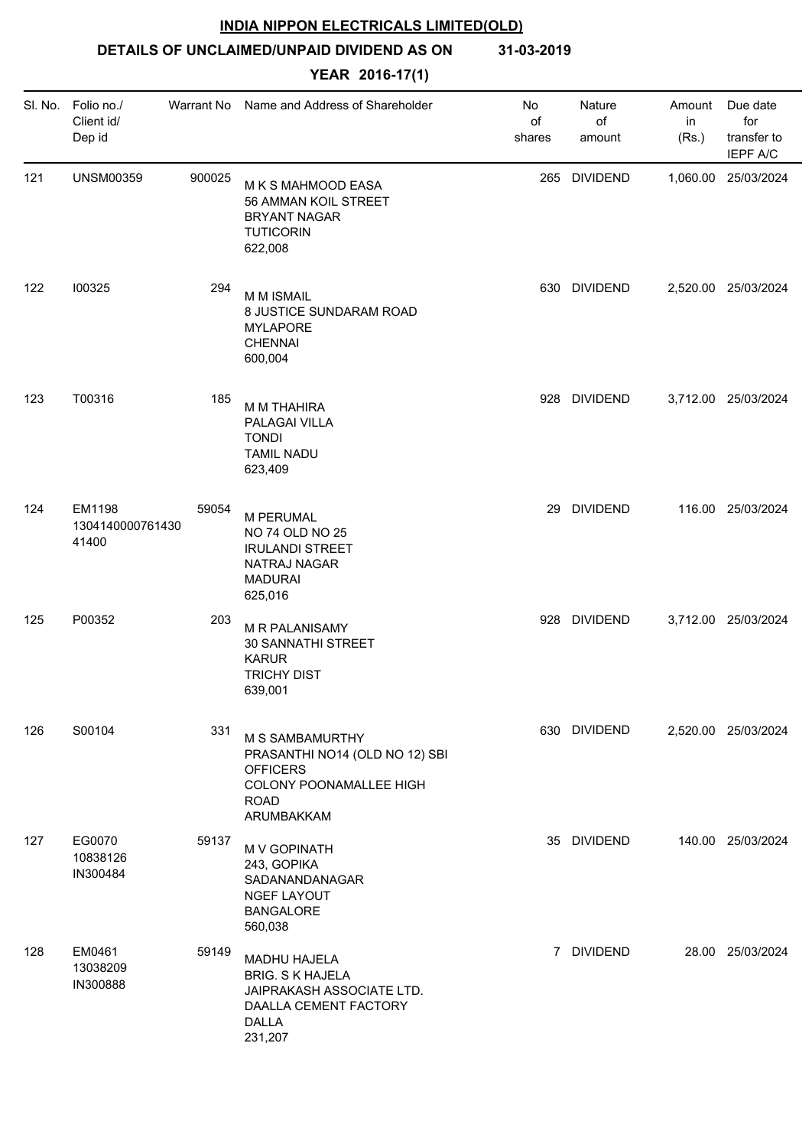**DETAILS OF UNCLAIMED/UNPAID DIVIDEND AS ON 31-03-2019**

| SI. No. | Folio no./<br>Client id/<br>Dep id  | Warrant No | Name and Address of Shareholder                                                                                              | No<br>of<br>shares | Nature<br>of<br>amount | Amount<br>in<br>(Rs.) | Due date<br>for<br>transfer to<br><b>IEPF A/C</b> |
|---------|-------------------------------------|------------|------------------------------------------------------------------------------------------------------------------------------|--------------------|------------------------|-----------------------|---------------------------------------------------|
| 121     | <b>UNSM00359</b>                    | 900025     | M K S MAHMOOD EASA<br>56 AMMAN KOIL STREET<br><b>BRYANT NAGAR</b><br><b>TUTICORIN</b><br>622,008                             |                    | 265 DIVIDEND           |                       | 1,060.00 25/03/2024                               |
| 122     | 100325                              | 294        | M M ISMAIL<br>8 JUSTICE SUNDARAM ROAD<br><b>MYLAPORE</b><br><b>CHENNAI</b><br>600,004                                        |                    | 630 DIVIDEND           |                       | 2,520.00 25/03/2024                               |
| 123     | T00316                              | 185        | <b>M M THAHIRA</b><br>PALAGAI VILLA<br><b>TONDI</b><br><b>TAMIL NADU</b><br>623,409                                          |                    | 928 DIVIDEND           |                       | 3,712.00 25/03/2024                               |
| 124     | EM1198<br>1304140000761430<br>41400 | 59054      | M PERUMAL<br>NO 74 OLD NO 25<br><b>IRULANDI STREET</b><br>NATRAJ NAGAR<br><b>MADURAI</b><br>625,016                          |                    | 29 DIVIDEND            |                       | 116.00 25/03/2024                                 |
| 125     | P00352                              | 203        | M R PALANISAMY<br>30 SANNATHI STREET<br><b>KARUR</b><br><b>TRICHY DIST</b><br>639,001                                        |                    | 928 DIVIDEND           |                       | 3,712.00 25/03/2024                               |
| 126     | S00104                              | 331        | M S SAMBAMURTHY<br>PRASANTHI NO14 (OLD NO 12) SBI<br><b>OFFICERS</b><br>COLONY POONAMALLEE HIGH<br><b>ROAD</b><br>ARUMBAKKAM |                    | 630 DIVIDEND           |                       | 2,520.00 25/03/2024                               |
| 127     | EG0070<br>10838126<br>IN300484      | 59137      | M V GOPINATH<br>243, GOPIKA<br>SADANANDANAGAR<br><b>NGEF LAYOUT</b><br><b>BANGALORE</b><br>560,038                           |                    | 35 DIVIDEND            |                       | 140.00 25/03/2024                                 |
| 128     | EM0461<br>13038209<br>IN300888      | 59149      | MADHU HAJELA<br><b>BRIG. S K HAJELA</b><br>JAIPRAKASH ASSOCIATE LTD.<br>DAALLA CEMENT FACTORY<br><b>DALLA</b><br>231,207     | $\overline{7}$     | <b>DIVIDEND</b>        |                       | 28.00 25/03/2024                                  |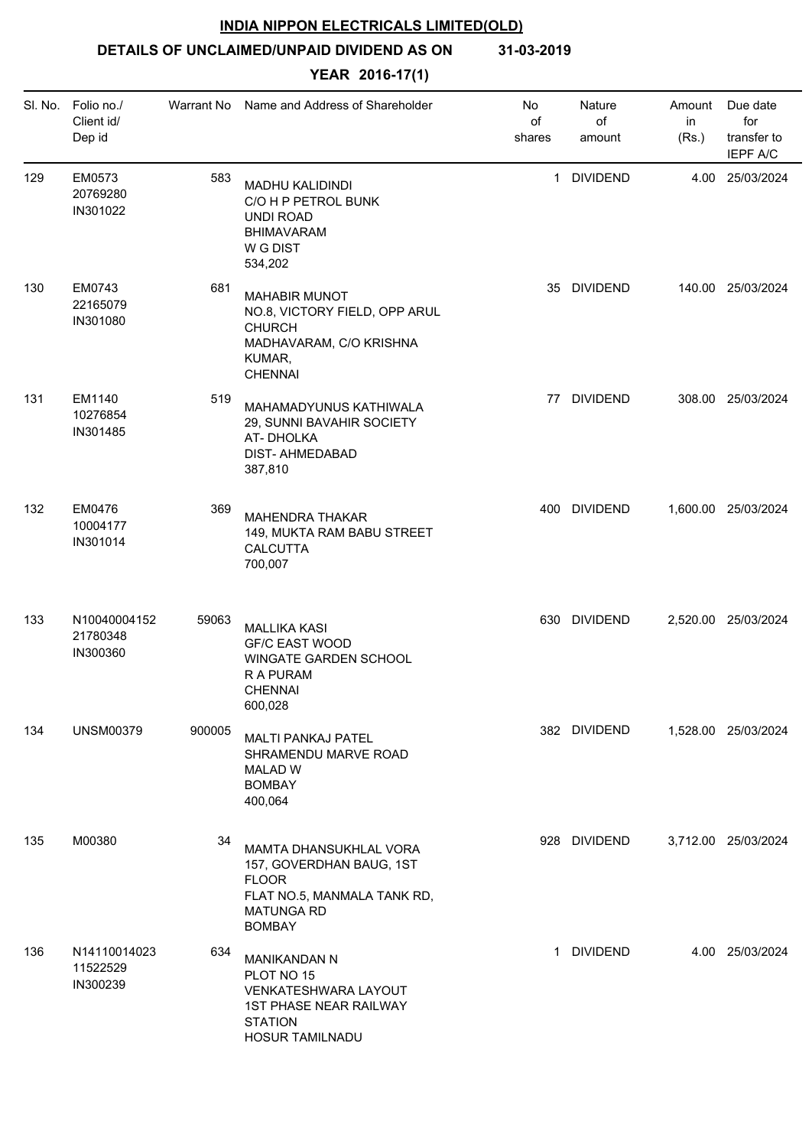**DETAILS OF UNCLAIMED/UNPAID DIVIDEND AS ON 31-03-2019**

| SI. No. | Folio no./<br>Client id/<br>Dep id   | Warrant No | Name and Address of Shareholder                                                                                                         | No<br>of<br>shares | Nature<br>of<br>amount | Amount<br>in<br>(Rs.) | Due date<br>for<br>transfer to<br><b>IEPF A/C</b> |
|---------|--------------------------------------|------------|-----------------------------------------------------------------------------------------------------------------------------------------|--------------------|------------------------|-----------------------|---------------------------------------------------|
| 129     | EM0573<br>20769280<br>IN301022       | 583        | <b>MADHU KALIDINDI</b><br>C/O H P PETROL BUNK<br><b>UNDI ROAD</b><br><b>BHIMAVARAM</b><br>W G DIST<br>534,202                           | 1                  | <b>DIVIDEND</b>        |                       | 4.00 25/03/2024                                   |
| 130     | EM0743<br>22165079<br>IN301080       | 681        | <b>MAHABIR MUNOT</b><br>NO.8, VICTORY FIELD, OPP ARUL<br><b>CHURCH</b><br>MADHAVARAM, C/O KRISHNA<br>KUMAR,<br><b>CHENNAI</b>           |                    | 35 DIVIDEND            |                       | 140.00 25/03/2024                                 |
| 131     | EM1140<br>10276854<br>IN301485       | 519        | MAHAMADYUNUS KATHIWALA<br>29, SUNNI BAVAHIR SOCIETY<br>AT-DHOLKA<br><b>DIST- AHMEDABAD</b><br>387,810                                   |                    | 77 DIVIDEND            |                       | 308.00 25/03/2024                                 |
| 132     | EM0476<br>10004177<br>IN301014       | 369        | <b>MAHENDRA THAKAR</b><br>149, MUKTA RAM BABU STREET<br>CALCUTTA<br>700,007                                                             |                    | 400 DIVIDEND           |                       | 1,600.00 25/03/2024                               |
| 133     | N10040004152<br>21780348<br>IN300360 | 59063      | <b>MALLIKA KASI</b><br><b>GF/C EAST WOOD</b><br>WINGATE GARDEN SCHOOL<br>R A PURAM<br><b>CHENNAI</b><br>600,028                         |                    | 630 DIVIDEND           |                       | 2,520.00 25/03/2024                               |
| 134     | <b>UNSM00379</b>                     | 900005     | <b>MALTI PANKAJ PATEL</b><br>SHRAMENDU MARVE ROAD<br><b>MALAD W</b><br><b>BOMBAY</b><br>400,064                                         |                    | 382 DIVIDEND           |                       | 1,528.00 25/03/2024                               |
| 135     | M00380                               | 34         | MAMTA DHANSUKHLAL VORA<br>157, GOVERDHAN BAUG, 1ST<br><b>FLOOR</b><br>FLAT NO.5, MANMALA TANK RD,<br><b>MATUNGA RD</b><br><b>BOMBAY</b> |                    | 928 DIVIDEND           |                       | 3,712.00 25/03/2024                               |
| 136     | N14110014023<br>11522529<br>IN300239 | 634        | <b>MANIKANDAN N</b><br>PLOT NO 15<br>VENKATESHWARA LAYOUT<br><b>1ST PHASE NEAR RAILWAY</b><br><b>STATION</b><br>HOSUR TAMILNADU         | $\mathbf{1}$       | <b>DIVIDEND</b>        |                       | 4.00 25/03/2024                                   |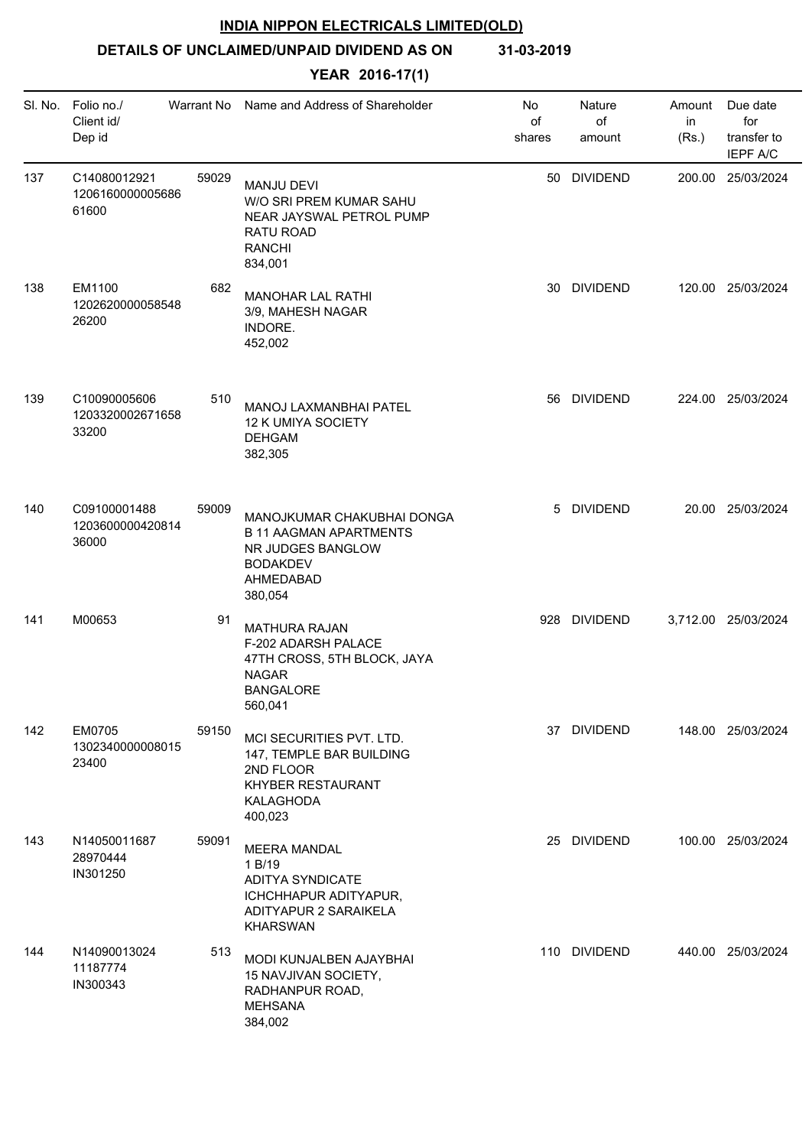**DETAILS OF UNCLAIMED/UNPAID DIVIDEND AS ON 31-03-2019**

| SI. No. | Folio no./<br>Client id/<br>Dep id        | Warrant No | Name and Address of Shareholder                                                                                               | No<br>of<br>shares | Nature<br>of<br>amount | Amount<br>in<br>(Rs.) | Due date<br>for<br>transfer to<br><b>IEPF A/C</b> |
|---------|-------------------------------------------|------------|-------------------------------------------------------------------------------------------------------------------------------|--------------------|------------------------|-----------------------|---------------------------------------------------|
| 137     | C14080012921<br>1206160000005686<br>61600 | 59029      | <b>MANJU DEVI</b><br>W/O SRI PREM KUMAR SAHU<br>NEAR JAYSWAL PETROL PUMP<br>RATU ROAD<br><b>RANCHI</b><br>834,001             |                    | 50 DIVIDEND            |                       | 200.00 25/03/2024                                 |
| 138     | EM1100<br>1202620000058548<br>26200       | 682        | <b>MANOHAR LAL RATHI</b><br>3/9, MAHESH NAGAR<br>INDORE.<br>452,002                                                           | 30                 | <b>DIVIDEND</b>        |                       | 120.00 25/03/2024                                 |
| 139     | C10090005606<br>1203320002671658<br>33200 | 510        | MANOJ LAXMANBHAI PATEL<br>12 K UMIYA SOCIETY<br><b>DEHGAM</b><br>382,305                                                      |                    | 56 DIVIDEND            |                       | 224.00 25/03/2024                                 |
| 140     | C09100001488<br>1203600000420814<br>36000 | 59009      | MANOJKUMAR CHAKUBHAI DONGA<br><b>B 11 AAGMAN APARTMENTS</b><br>NR JUDGES BANGLOW<br><b>BODAKDEV</b><br>AHMEDABAD<br>380,054   | 5                  | <b>DIVIDEND</b>        |                       | 20.00 25/03/2024                                  |
| 141     | M00653                                    | 91         | <b>MATHURA RAJAN</b><br>F-202 ADARSH PALACE<br>47TH CROSS, 5TH BLOCK, JAYA<br><b>NAGAR</b><br><b>BANGALORE</b><br>560,041     | 928                | DIVIDEND               |                       | 3,712.00 25/03/2024                               |
| 142     | EM0705<br>1302340000008015<br>23400       | 59150      | MCI SECURITIES PVT. LTD.<br>147, TEMPLE BAR BUILDING<br>2ND FLOOR<br>KHYBER RESTAURANT<br>KALAGHODA<br>400,023                |                    | 37 DIVIDEND            |                       | 148.00 25/03/2024                                 |
| 143     | N14050011687<br>28970444<br>IN301250      | 59091      | <b>MEERA MANDAL</b><br>1 B/19<br><b>ADITYA SYNDICATE</b><br>ICHCHHAPUR ADITYAPUR,<br>ADITYAPUR 2 SARAIKELA<br><b>KHARSWAN</b> |                    | 25 DIVIDEND            |                       | 100.00 25/03/2024                                 |
| 144     | N14090013024<br>11187774<br>IN300343      | 513        | MODI KUNJALBEN AJAYBHAI<br>15 NAVJIVAN SOCIETY,<br>RADHANPUR ROAD,<br><b>MEHSANA</b><br>384,002                               |                    | 110 DIVIDEND           |                       | 440.00 25/03/2024                                 |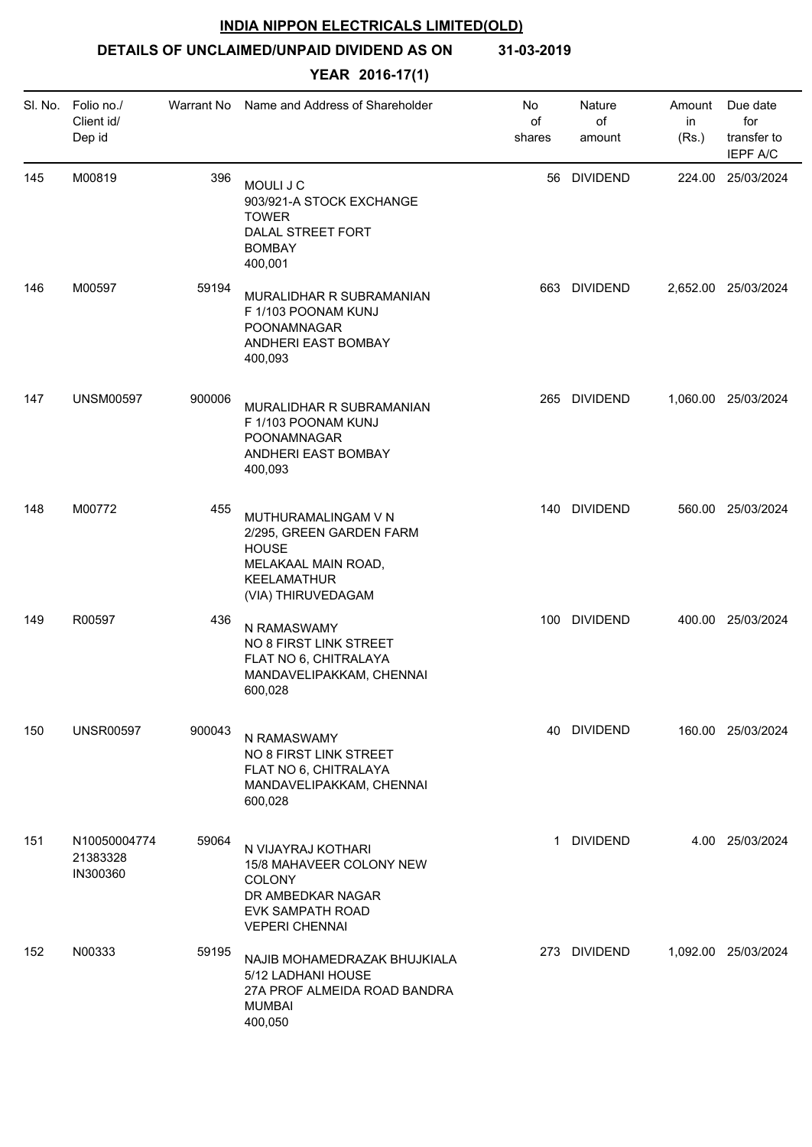**DETAILS OF UNCLAIMED/UNPAID DIVIDEND AS ON 31-03-2019**

| SI. No. | Folio no./<br>Client id/<br>Dep id   | Warrant No | Name and Address of Shareholder                                                                                                    | No<br>of<br>shares | Nature<br>of<br>amount | Amount<br>in<br>(Rs.) | Due date<br>for<br>transfer to<br><b>IEPF A/C</b> |
|---------|--------------------------------------|------------|------------------------------------------------------------------------------------------------------------------------------------|--------------------|------------------------|-----------------------|---------------------------------------------------|
| 145     | M00819                               | 396        | MOULI J C<br>903/921-A STOCK EXCHANGE<br><b>TOWER</b><br>DALAL STREET FORT<br><b>BOMBAY</b><br>400,001                             |                    | 56 DIVIDEND            |                       | 224.00 25/03/2024                                 |
| 146     | M00597                               | 59194      | MURALIDHAR R SUBRAMANIAN<br>F 1/103 POONAM KUNJ<br>POONAMNAGAR<br>ANDHERI EAST BOMBAY<br>400,093                                   | 663                | <b>DIVIDEND</b>        |                       | 2,652.00 25/03/2024                               |
| 147     | <b>UNSM00597</b>                     | 900006     | MURALIDHAR R SUBRAMANIAN<br>F 1/103 POONAM KUNJ<br>POONAMNAGAR<br>ANDHERI EAST BOMBAY<br>400,093                                   | 265                | <b>DIVIDEND</b>        |                       | 1,060.00 25/03/2024                               |
| 148     | M00772                               | 455        | MUTHURAMALINGAM V N<br>2/295, GREEN GARDEN FARM<br><b>HOUSE</b><br>MELAKAAL MAIN ROAD,<br><b>KEELAMATHUR</b><br>(VIA) THIRUVEDAGAM |                    | 140 DIVIDEND           |                       | 560.00 25/03/2024                                 |
| 149     | R00597                               | 436        | N RAMASWAMY<br>NO 8 FIRST LINK STREET<br>FLAT NO 6, CHITRALAYA<br>MANDAVELIPAKKAM, CHENNAI<br>600,028                              |                    | 100 DIVIDEND           |                       | 400.00 25/03/2024                                 |
| 150     | <b>UNSR00597</b>                     | 900043     | N RAMASWAMY<br>NO 8 FIRST LINK STREET<br>FLAT NO 6, CHITRALAYA<br>MANDAVELIPAKKAM, CHENNAI<br>600,028                              |                    | 40 DIVIDEND            |                       | 160.00 25/03/2024                                 |
| 151     | N10050004774<br>21383328<br>IN300360 | 59064      | N VIJAYRAJ KOTHARI<br>15/8 MAHAVEER COLONY NEW<br>COLONY<br>DR AMBEDKAR NAGAR<br>EVK SAMPATH ROAD<br><b>VEPERI CHENNAI</b>         | 1                  | <b>DIVIDEND</b>        |                       | 4.00 25/03/2024                                   |
| 152     | N00333                               | 59195      | NAJIB MOHAMEDRAZAK BHUJKIALA<br>5/12 LADHANI HOUSE<br>27A PROF ALMEIDA ROAD BANDRA<br><b>MUMBAI</b><br>400,050                     |                    | 273 DIVIDEND           |                       | 1,092.00 25/03/2024                               |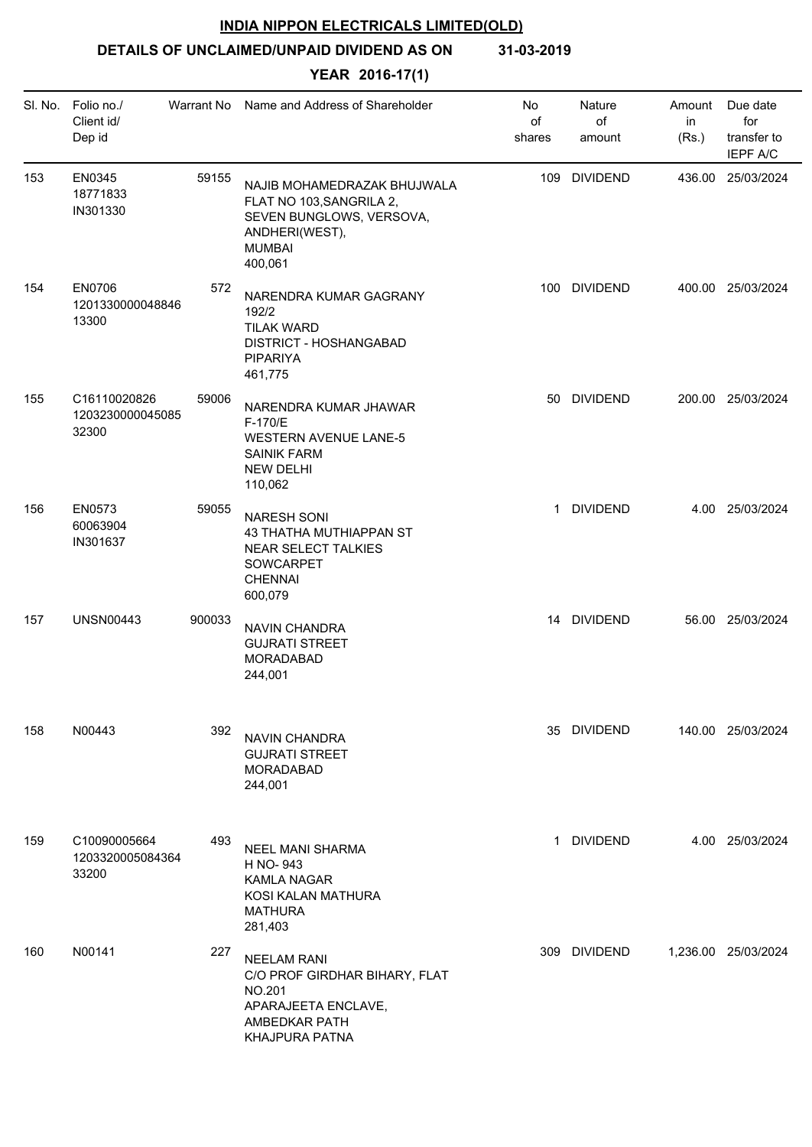**DETAILS OF UNCLAIMED/UNPAID DIVIDEND AS ON 31-03-2019**

| SI. No. | Folio no./<br>Client id/<br>Dep id        | Warrant No | Name and Address of Shareholder                                                                                                   | No<br>of<br>shares | Nature<br>of<br>amount | Amount<br>in<br>(Rs.) | Due date<br>for<br>transfer to<br><b>IEPF A/C</b> |
|---------|-------------------------------------------|------------|-----------------------------------------------------------------------------------------------------------------------------------|--------------------|------------------------|-----------------------|---------------------------------------------------|
| 153     | EN0345<br>18771833<br>IN301330            | 59155      | NAJIB MOHAMEDRAZAK BHUJWALA<br>FLAT NO 103, SANGRILA 2,<br>SEVEN BUNGLOWS, VERSOVA,<br>ANDHERI(WEST),<br><b>MUMBAI</b><br>400,061 | 109                | <b>DIVIDEND</b>        |                       | 436.00 25/03/2024                                 |
| 154     | EN0706<br>1201330000048846<br>13300       | 572        | NARENDRA KUMAR GAGRANY<br>192/2<br><b>TILAK WARD</b><br>DISTRICT - HOSHANGABAD<br><b>PIPARIYA</b><br>461,775                      | 100                | <b>DIVIDEND</b>        |                       | 400.00 25/03/2024                                 |
| 155     | C16110020826<br>1203230000045085<br>32300 | 59006      | NARENDRA KUMAR JHAWAR<br>F-170/E<br><b>WESTERN AVENUE LANE-5</b><br><b>SAINIK FARM</b><br><b>NEW DELHI</b><br>110,062             |                    | 50 DIVIDEND            |                       | 200.00 25/03/2024                                 |
| 156     | EN0573<br>60063904<br>IN301637            | 59055      | <b>NARESH SONI</b><br>43 THATHA MUTHIAPPAN ST<br>NEAR SELECT TALKIES<br>SOWCARPET<br><b>CHENNAI</b><br>600,079                    | $\mathbf{1}$       | <b>DIVIDEND</b>        |                       | 4.00 25/03/2024                                   |
| 157     | <b>UNSN00443</b>                          | 900033     | NAVIN CHANDRA<br><b>GUJRATI STREET</b><br><b>MORADABAD</b><br>244,001                                                             |                    | 14 DIVIDEND            |                       | 56.00 25/03/2024                                  |
| 158     | N00443                                    | 392        | NAVIN CHANDRA<br><b>GUJRATI STREET</b><br><b>MORADABAD</b><br>244,001                                                             |                    | 35 DIVIDEND            |                       | 140.00 25/03/2024                                 |
| 159     | C10090005664<br>1203320005084364<br>33200 | 493        | <b>NEEL MANI SHARMA</b><br>H NO-943<br><b>KAMLA NAGAR</b><br>KOSI KALAN MATHURA<br><b>MATHURA</b><br>281,403                      |                    | 1 DIVIDEND             |                       | 4.00 25/03/2024                                   |
| 160     | N00141                                    | 227        | <b>NEELAM RANI</b><br>C/O PROF GIRDHAR BIHARY, FLAT<br><b>NO.201</b><br>APARAJEETA ENCLAVE,<br>AMBEDKAR PATH<br>KHAJPURA PATNA    |                    | 309 DIVIDEND           |                       | 1,236.00 25/03/2024                               |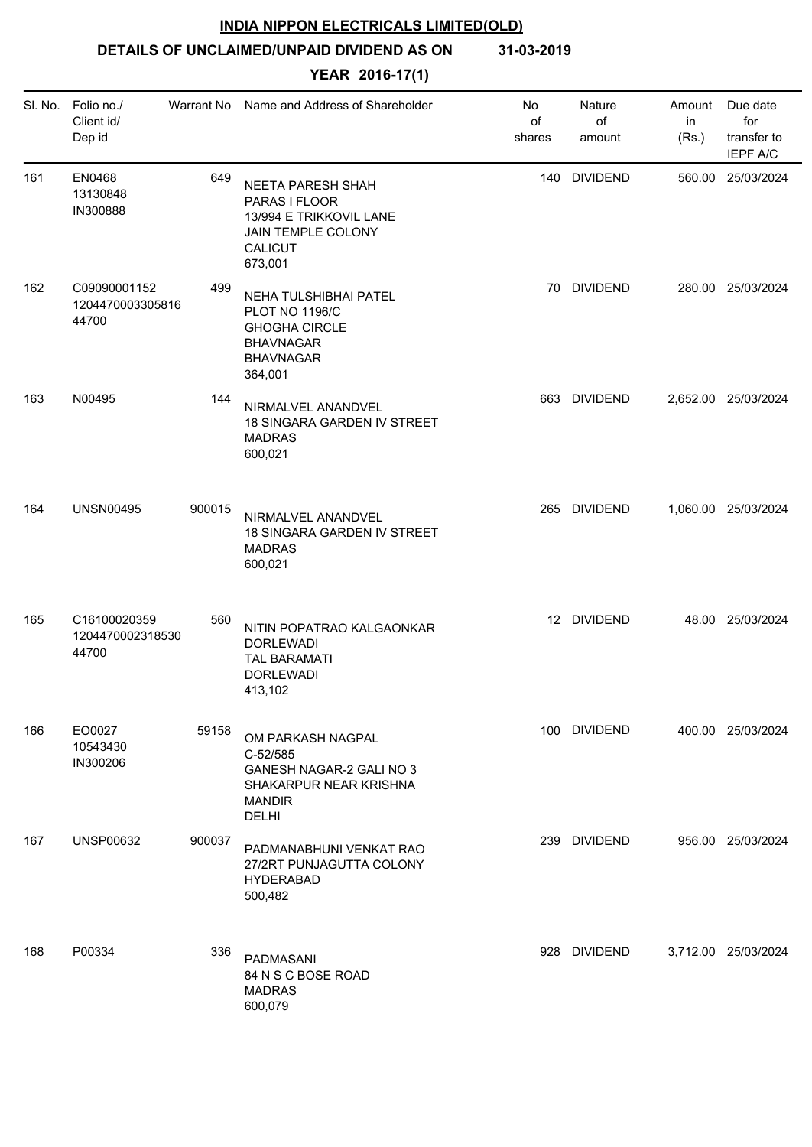# **DETAILS OF UNCLAIMED/UNPAID DIVIDEND AS ON 31-03-2019**

| SI. No. | Folio no./<br>Client id/<br>Dep id        | Warrant No | Name and Address of Shareholder                                                                                             | No<br>of<br>shares | Nature<br>of<br>amount | Amount<br>in<br>(Rs.) | Due date<br>for<br>transfer to<br><b>IEPF A/C</b> |
|---------|-------------------------------------------|------------|-----------------------------------------------------------------------------------------------------------------------------|--------------------|------------------------|-----------------------|---------------------------------------------------|
| 161     | EN0468<br>13130848<br>IN300888            | 649        | <b>NEETA PARESH SHAH</b><br>PARAS I FLOOR<br>13/994 E TRIKKOVIL LANE<br>JAIN TEMPLE COLONY<br>CALICUT<br>673,001            |                    | 140 DIVIDEND           |                       | 560.00 25/03/2024                                 |
| 162     | C09090001152<br>1204470003305816<br>44700 | 499        | NEHA TULSHIBHAI PATEL<br><b>PLOT NO 1196/C</b><br><b>GHOGHA CIRCLE</b><br><b>BHAVNAGAR</b><br><b>BHAVNAGAR</b><br>364,001   | 70                 | <b>DIVIDEND</b>        |                       | 280.00 25/03/2024                                 |
| 163     | N00495                                    | 144        | NIRMALVEL ANANDVEL<br>18 SINGARA GARDEN IV STREET<br><b>MADRAS</b><br>600,021                                               | 663                | <b>DIVIDEND</b>        |                       | 2,652.00 25/03/2024                               |
| 164     | <b>UNSN00495</b>                          | 900015     | NIRMALVEL ANANDVEL<br>18 SINGARA GARDEN IV STREET<br><b>MADRAS</b><br>600,021                                               |                    | 265 DIVIDEND           |                       | 1,060.00 25/03/2024                               |
| 165     | C16100020359<br>1204470002318530<br>44700 | 560        | NITIN POPATRAO KALGAONKAR<br><b>DORLEWADI</b><br><b>TAL BARAMATI</b><br><b>DORLEWADI</b><br>413,102                         |                    | 12 DIVIDEND            |                       | 48.00 25/03/2024                                  |
| 166     | EO0027<br>10543430<br>IN300206            | 59158      | OM PARKASH NAGPAL<br>C-52/585<br><b>GANESH NAGAR-2 GALI NO 3</b><br>SHAKARPUR NEAR KRISHNA<br><b>MANDIR</b><br><b>DELHI</b> |                    | 100 DIVIDEND           |                       | 400.00 25/03/2024                                 |
| 167     | <b>UNSP00632</b>                          | 900037     | PADMANABHUNI VENKAT RAO<br>27/2RT PUNJAGUTTA COLONY<br><b>HYDERABAD</b><br>500,482                                          |                    | 239 DIVIDEND           |                       | 956.00 25/03/2024                                 |
| 168     | P00334                                    | 336        | PADMASANI<br>84 N S C BOSE ROAD<br><b>MADRAS</b><br>600,079                                                                 |                    | 928 DIVIDEND           |                       | 3,712.00 25/03/2024                               |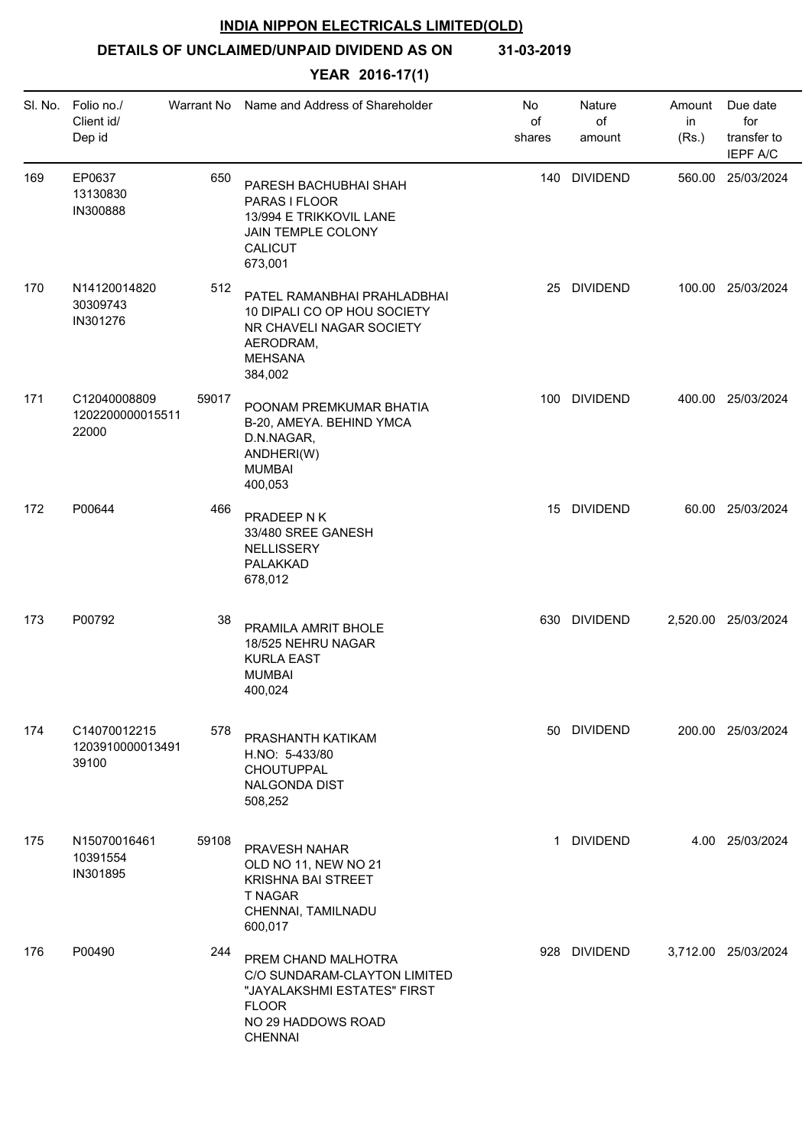# **DETAILS OF UNCLAIMED/UNPAID DIVIDEND AS ON 31-03-2019**

| SI. No. | Folio no./<br>Client id/<br>Dep id        | Warrant No | Name and Address of Shareholder                                                                                                            | No<br>of<br>shares | Nature<br>of<br>amount | Amount<br>in<br>(Rs.) | Due date<br>for<br>transfer to<br><b>IEPF A/C</b> |
|---------|-------------------------------------------|------------|--------------------------------------------------------------------------------------------------------------------------------------------|--------------------|------------------------|-----------------------|---------------------------------------------------|
| 169     | EP0637<br>13130830<br>IN300888            | 650        | PARESH BACHUBHAI SHAH<br>PARAS I FLOOR<br>13/994 E TRIKKOVIL LANE<br>JAIN TEMPLE COLONY<br><b>CALICUT</b><br>673,001                       |                    | 140 DIVIDEND           |                       | 560.00 25/03/2024                                 |
| 170     | N14120014820<br>30309743<br>IN301276      | 512        | PATEL RAMANBHAI PRAHLADBHAI<br>10 DIPALI CO OP HOU SOCIETY<br>NR CHAVELI NAGAR SOCIETY<br>AERODRAM,<br><b>MEHSANA</b><br>384,002           | 25                 | <b>DIVIDEND</b>        |                       | 100.00 25/03/2024                                 |
| 171     | C12040008809<br>1202200000015511<br>22000 | 59017      | POONAM PREMKUMAR BHATIA<br>B-20, AMEYA. BEHIND YMCA<br>D.N.NAGAR,<br>ANDHERI(W)<br><b>MUMBAI</b><br>400,053                                |                    | 100 DIVIDEND           |                       | 400.00 25/03/2024                                 |
| 172     | P00644                                    | 466        | PRADEEP N K<br>33/480 SREE GANESH<br><b>NELLISSERY</b><br>PALAKKAD<br>678,012                                                              |                    | 15 DIVIDEND            |                       | 60.00 25/03/2024                                  |
| 173     | P00792                                    | 38         | PRAMILA AMRIT BHOLE<br>18/525 NEHRU NAGAR<br><b>KURLA EAST</b><br><b>MUMBAI</b><br>400,024                                                 |                    | 630 DIVIDEND           |                       | 2,520.00 25/03/2024                               |
| 174     | C14070012215<br>1203910000013491<br>39100 | 578        | PRASHANTH KATIKAM<br>H.NO: 5-433/80<br>CHOUTUPPAL<br><b>NALGONDA DIST</b><br>508,252                                                       |                    | 50 DIVIDEND            |                       | 200.00 25/03/2024                                 |
| 175     | N15070016461<br>10391554<br>IN301895      | 59108      | PRAVESH NAHAR<br>OLD NO 11, NEW NO 21<br><b>KRISHNA BAI STREET</b><br><b>T NAGAR</b><br>CHENNAI, TAMILNADU<br>600,017                      |                    | 1 DIVIDEND             |                       | 4.00 25/03/2024                                   |
| 176     | P00490                                    | 244        | PREM CHAND MALHOTRA<br>C/O SUNDARAM-CLAYTON LIMITED<br>"JAYALAKSHMI ESTATES" FIRST<br><b>FLOOR</b><br>NO 29 HADDOWS ROAD<br><b>CHENNAI</b> |                    | 928 DIVIDEND           |                       | 3,712.00 25/03/2024                               |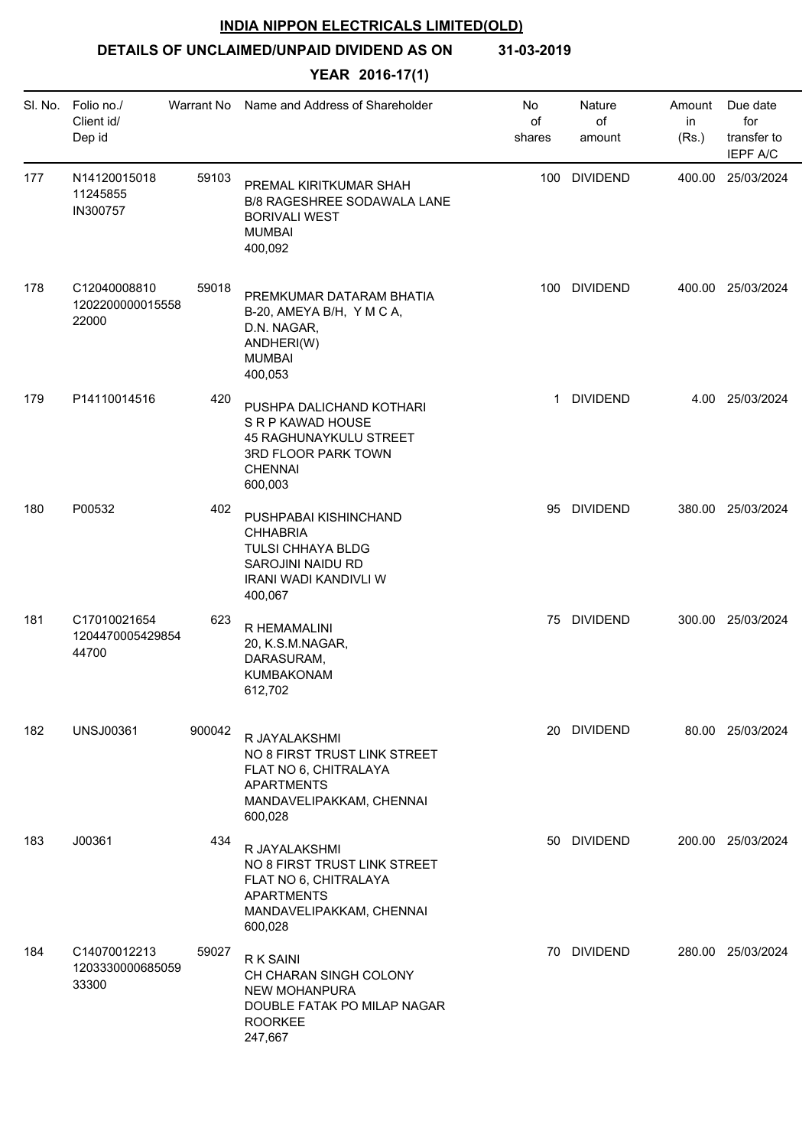# **DETAILS OF UNCLAIMED/UNPAID DIVIDEND AS ON 31-03-2019**

| SI. No. | Folio no./<br>Client id/<br>Dep id        | Warrant No | Name and Address of Shareholder                                                                                                    | No<br>of<br>shares | Nature<br>of<br>amount | Amount<br>in<br>(Rs.) | Due date<br>for<br>transfer to<br><b>IEPF A/C</b> |
|---------|-------------------------------------------|------------|------------------------------------------------------------------------------------------------------------------------------------|--------------------|------------------------|-----------------------|---------------------------------------------------|
| 177     | N14120015018<br>11245855<br>IN300757      | 59103      | PREMAL KIRITKUMAR SHAH<br>B/8 RAGESHREE SODAWALA LANE<br><b>BORIVALI WEST</b><br><b>MUMBAI</b><br>400,092                          |                    | 100 DIVIDEND           |                       | 400.00 25/03/2024                                 |
| 178     | C12040008810<br>1202200000015558<br>22000 | 59018      | PREMKUMAR DATARAM BHATIA<br>B-20, AMEYA B/H, Y M C A,<br>D.N. NAGAR,<br>ANDHERI(W)<br><b>MUMBAI</b><br>400,053                     | 100                | <b>DIVIDEND</b>        |                       | 400.00 25/03/2024                                 |
| 179     | P14110014516                              | 420        | PUSHPA DALICHAND KOTHARI<br>S R P KAWAD HOUSE<br>45 RAGHUNAYKULU STREET<br>3RD FLOOR PARK TOWN<br><b>CHENNAI</b><br>600,003        | $\mathbf{1}$       | <b>DIVIDEND</b>        |                       | 4.00 25/03/2024                                   |
| 180     | P00532                                    | 402        | PUSHPABAI KISHINCHAND<br><b>CHHABRIA</b><br>TULSI CHHAYA BLDG<br>SAROJINI NAIDU RD<br><b>IRANI WADI KANDIVLI W</b><br>400,067      |                    | 95 DIVIDEND            |                       | 380.00 25/03/2024                                 |
| 181     | C17010021654<br>1204470005429854<br>44700 | 623        | R HEMAMALINI<br>20, K.S.M.NAGAR,<br>DARASURAM,<br>KUMBAKONAM<br>612,702                                                            |                    | 75 DIVIDEND            |                       | 300.00 25/03/2024                                 |
| 182     | <b>UNSJ00361</b>                          | 900042     | R JAYALAKSHMI<br>NO 8 FIRST TRUST LINK STREET<br>FLAT NO 6, CHITRALAYA<br><b>APARTMENTS</b><br>MANDAVELIPAKKAM, CHENNAI<br>600,028 |                    | 20 DIVIDEND            |                       | 80.00 25/03/2024                                  |
| 183     | J00361                                    | 434        | R JAYALAKSHMI<br>NO 8 FIRST TRUST LINK STREET<br>FLAT NO 6, CHITRALAYA<br><b>APARTMENTS</b><br>MANDAVELIPAKKAM, CHENNAI<br>600,028 |                    | 50 DIVIDEND            |                       | 200.00 25/03/2024                                 |
| 184     | C14070012213<br>1203330000685059<br>33300 | 59027      | R K SAINI<br>CH CHARAN SINGH COLONY<br><b>NEW MOHANPURA</b><br>DOUBLE FATAK PO MILAP NAGAR<br><b>ROORKEE</b><br>247,667            |                    | 70 DIVIDEND            |                       | 280.00 25/03/2024                                 |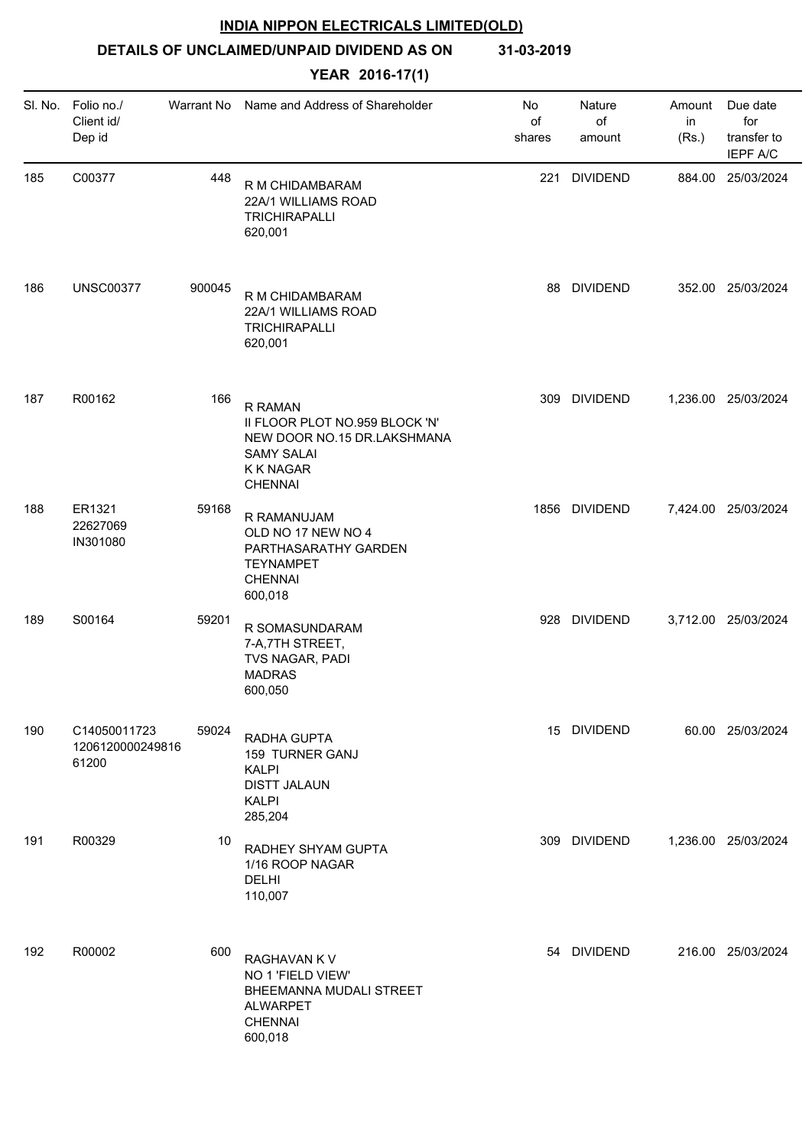**DETAILS OF UNCLAIMED/UNPAID DIVIDEND AS ON 31-03-2019**

| SI. No. | Folio no./<br>Client id/<br>Dep id        | Warrant No | Name and Address of Shareholder                                                                                                     | No<br>of<br>shares | Nature<br>of<br>amount | Amount<br>in<br>(Rs.) | Due date<br>for<br>transfer to<br><b>IEPF A/C</b> |
|---------|-------------------------------------------|------------|-------------------------------------------------------------------------------------------------------------------------------------|--------------------|------------------------|-----------------------|---------------------------------------------------|
| 185     | C00377                                    | 448        | R M CHIDAMBARAM<br>22A/1 WILLIAMS ROAD<br><b>TRICHIRAPALLI</b><br>620,001                                                           | 221                | <b>DIVIDEND</b>        |                       | 884.00 25/03/2024                                 |
| 186     | <b>UNSC00377</b>                          | 900045     | R M CHIDAMBARAM<br>22A/1 WILLIAMS ROAD<br><b>TRICHIRAPALLI</b><br>620,001                                                           | 88                 | <b>DIVIDEND</b>        |                       | 352.00 25/03/2024                                 |
| 187     | R00162                                    | 166        | <b>R RAMAN</b><br>II FLOOR PLOT NO.959 BLOCK 'N'<br>NEW DOOR NO.15 DR.LAKSHMANA<br><b>SAMY SALAI</b><br>K K NAGAR<br><b>CHENNAI</b> | 309                | <b>DIVIDEND</b>        |                       | 1,236.00 25/03/2024                               |
| 188     | ER1321<br>22627069<br>IN301080            | 59168      | R RAMANUJAM<br>OLD NO 17 NEW NO 4<br>PARTHASARATHY GARDEN<br><b>TEYNAMPET</b><br><b>CHENNAI</b><br>600,018                          |                    | 1856 DIVIDEND          |                       | 7,424.00 25/03/2024                               |
| 189     | S00164                                    | 59201      | R SOMASUNDARAM<br>7-A, 7TH STREET,<br>TVS NAGAR, PADI<br><b>MADRAS</b><br>600,050                                                   |                    | 928 DIVIDEND           |                       | 3,712.00 25/03/2024                               |
| 190     | C14050011723<br>1206120000249816<br>61200 | 59024      | RADHA GUPTA<br>159 TURNER GANJ<br><b>KALPI</b><br><b>DISTT JALAUN</b><br><b>KALPI</b><br>285,204                                    |                    | 15 DIVIDEND            |                       | 60.00 25/03/2024                                  |
| 191     | R00329                                    | 10         | RADHEY SHYAM GUPTA<br>1/16 ROOP NAGAR<br><b>DELHI</b><br>110,007                                                                    |                    | 309 DIVIDEND           |                       | 1,236.00 25/03/2024                               |
| 192     | R00002                                    | 600        | RAGHAVAN K V<br>NO 1 'FIELD VIEW'<br>BHEEMANNA MUDALI STREET<br><b>ALWARPET</b><br><b>CHENNAI</b><br>600,018                        |                    | 54 DIVIDEND            |                       | 216.00 25/03/2024                                 |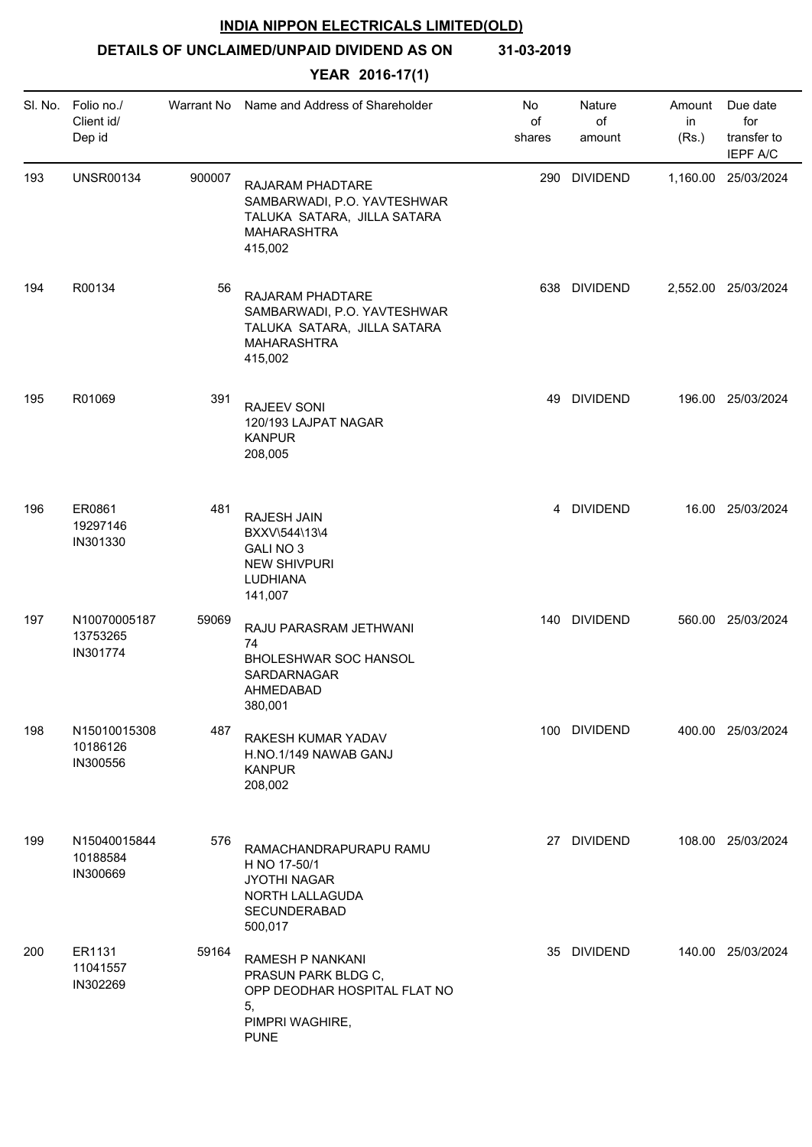**DETAILS OF UNCLAIMED/UNPAID DIVIDEND AS ON 31-03-2019**

| SI. No. | Folio no./<br>Client id/<br>Dep id   |        | Warrant No Name and Address of Shareholder                                                                      | No<br>of<br>shares | Nature<br>of<br>amount | Amount<br>in<br>(Rs.) | Due date<br>for<br>transfer to<br><b>IEPF A/C</b> |
|---------|--------------------------------------|--------|-----------------------------------------------------------------------------------------------------------------|--------------------|------------------------|-----------------------|---------------------------------------------------|
| 193     | <b>UNSR00134</b>                     | 900007 | RAJARAM PHADTARE<br>SAMBARWADI, P.O. YAVTESHWAR<br>TALUKA SATARA, JILLA SATARA<br>MAHARASHTRA<br>415,002        |                    | 290 DIVIDEND           |                       | 1,160.00 25/03/2024                               |
| 194     | R00134                               | 56     | RAJARAM PHADTARE<br>SAMBARWADI, P.O. YAVTESHWAR<br>TALUKA SATARA, JILLA SATARA<br>MAHARASHTRA<br>415,002        |                    | 638 DIVIDEND           |                       | 2,552.00 25/03/2024                               |
| 195     | R01069                               | 391    | <b>RAJEEV SONI</b><br>120/193 LAJPAT NAGAR<br><b>KANPUR</b><br>208,005                                          |                    | 49 DIVIDEND            |                       | 196.00 25/03/2024                                 |
| 196     | ER0861<br>19297146<br>IN301330       | 481    | RAJESH JAIN<br>BXXV\544\13\4<br>GALI NO 3<br><b>NEW SHIVPURI</b><br>LUDHIANA<br>141,007                         |                    | 4 DIVIDEND             |                       | 16.00 25/03/2024                                  |
| 197     | N10070005187<br>13753265<br>IN301774 | 59069  | RAJU PARASRAM JETHWANI<br>74<br>BHOLESHWAR SOC HANSOL<br>SARDARNAGAR<br>AHMEDABAD<br>380,001                    |                    | 140 DIVIDEND           |                       | 560.00 25/03/2024                                 |
| 198     | N15010015308<br>10186126<br>IN300556 | 487    | RAKESH KUMAR YADAV<br>H.NO.1/149 NAWAB GANJ<br><b>KANPUR</b><br>208,002                                         |                    | 100 DIVIDEND           |                       | 400.00 25/03/2024                                 |
| 199     | N15040015844<br>10188584<br>IN300669 | 576    | RAMACHANDRAPURAPU RAMU<br>H NO 17-50/1<br><b>JYOTHI NAGAR</b><br>NORTH LALLAGUDA<br>SECUNDERABAD<br>500,017     |                    | 27 DIVIDEND            |                       | 108.00 25/03/2024                                 |
| 200     | ER1131<br>11041557<br>IN302269       | 59164  | RAMESH P NANKANI<br>PRASUN PARK BLDG C,<br>OPP DEODHAR HOSPITAL FLAT NO<br>5,<br>PIMPRI WAGHIRE,<br><b>PUNE</b> |                    | 35 DIVIDEND            |                       | 140.00 25/03/2024                                 |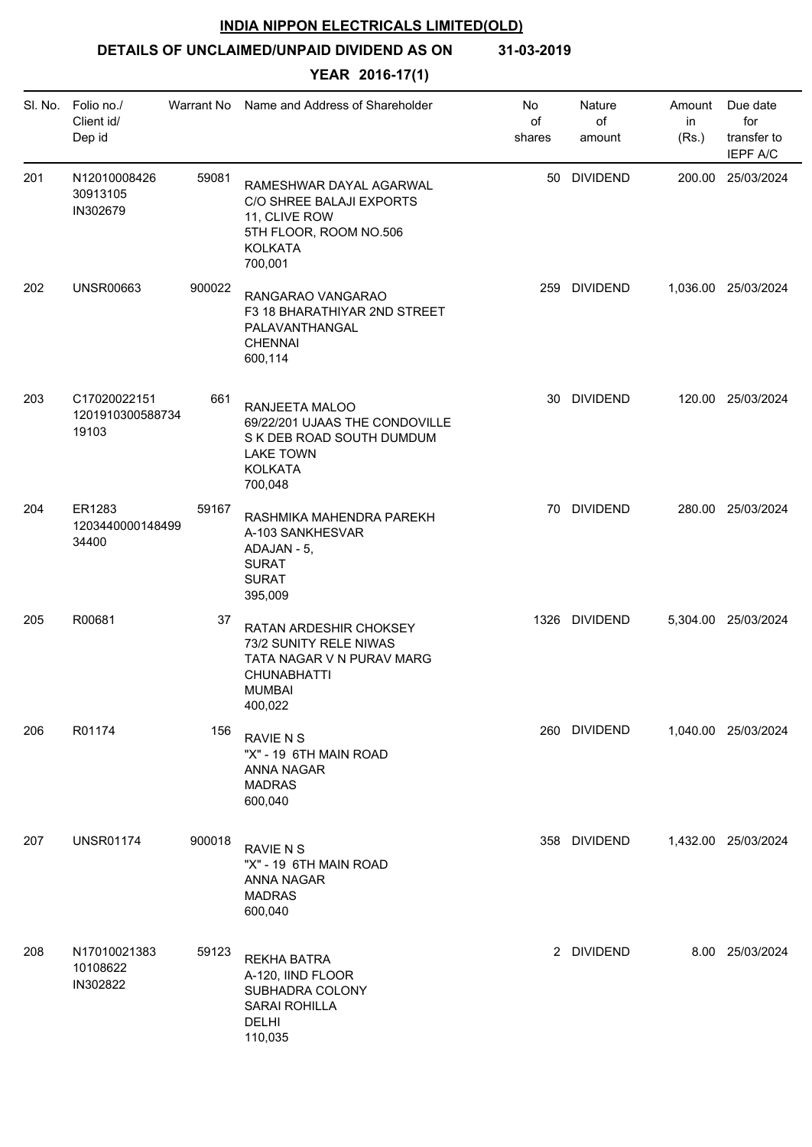**DETAILS OF UNCLAIMED/UNPAID DIVIDEND AS ON 31-03-2019**

|     | SI. No. Folio no./<br>Client id/<br>Dep id |        | Warrant No Name and Address of Shareholder                                                                                      | No<br>of<br>shares | Nature<br>of<br>amount | Amount<br>in<br>(Rs.) | Due date<br>for<br>transfer to<br><b>IEPF A/C</b> |
|-----|--------------------------------------------|--------|---------------------------------------------------------------------------------------------------------------------------------|--------------------|------------------------|-----------------------|---------------------------------------------------|
| 201 | N12010008426<br>30913105<br>IN302679       | 59081  | RAMESHWAR DAYAL AGARWAL<br>C/O SHREE BALAJI EXPORTS<br>11, CLIVE ROW<br>5TH FLOOR, ROOM NO.506<br><b>KOLKATA</b><br>700,001     |                    | 50 DIVIDEND            |                       | 200.00 25/03/2024                                 |
| 202 | <b>UNSR00663</b>                           | 900022 | RANGARAO VANGARAO<br>F3 18 BHARATHIYAR 2ND STREET<br>PALAVANTHANGAL<br><b>CHENNAI</b><br>600,114                                |                    | 259 DIVIDEND           |                       | 1,036.00 25/03/2024                               |
| 203 | C17020022151<br>1201910300588734<br>19103  | 661    | RANJEETA MALOO<br>69/22/201 UJAAS THE CONDOVILLE<br>S K DEB ROAD SOUTH DUMDUM<br><b>LAKE TOWN</b><br><b>KOLKATA</b><br>700,048  |                    | 30 DIVIDEND            |                       | 120.00 25/03/2024                                 |
| 204 | ER1283<br>1203440000148499<br>34400        | 59167  | RASHMIKA MAHENDRA PAREKH<br>A-103 SANKHESVAR<br>ADAJAN - 5,<br><b>SURAT</b><br><b>SURAT</b><br>395,009                          |                    | 70 DIVIDEND            |                       | 280.00 25/03/2024                                 |
| 205 | R00681                                     | 37     | RATAN ARDESHIR CHOKSEY<br>73/2 SUNITY RELE NIWAS<br>TATA NAGAR V N PURAV MARG<br><b>CHUNABHATTI</b><br><b>MUMBAI</b><br>400,022 |                    | 1326 DIVIDEND          |                       | 5,304.00 25/03/2024                               |
| 206 | R01174                                     | 156    | <b>RAVIE N S</b><br>"X" - 19 6TH MAIN ROAD<br><b>ANNA NAGAR</b><br><b>MADRAS</b><br>600,040                                     |                    | 260 DIVIDEND           |                       | 1,040.00 25/03/2024                               |
| 207 | <b>UNSR01174</b>                           | 900018 | <b>RAVIE N S</b><br>"X" - 19 6TH MAIN ROAD<br>ANNA NAGAR<br><b>MADRAS</b><br>600,040                                            |                    | 358 DIVIDEND           |                       | 1,432.00 25/03/2024                               |
| 208 | N17010021383<br>10108622<br>IN302822       | 59123  | <b>REKHA BATRA</b><br>A-120, IIND FLOOR<br>SUBHADRA COLONY<br><b>SARAI ROHILLA</b><br><b>DELHI</b><br>110,035                   |                    | 2 DIVIDEND             |                       | 8.00 25/03/2024                                   |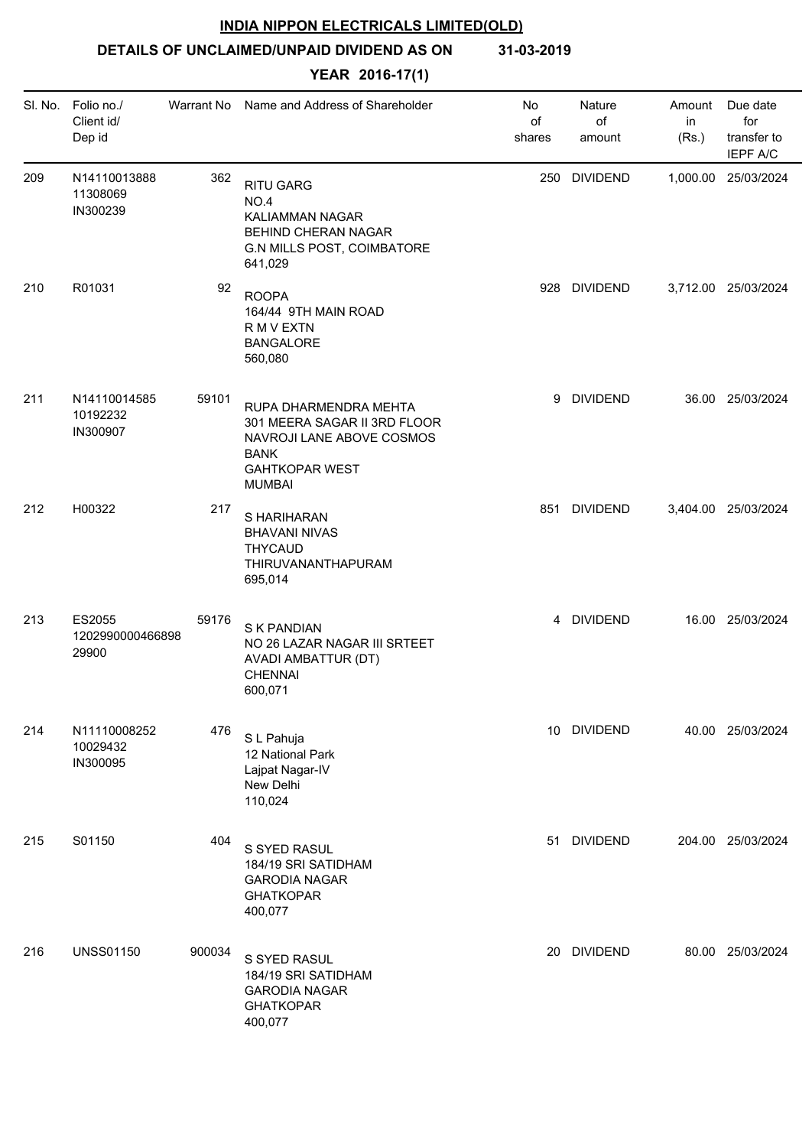# **DETAILS OF UNCLAIMED/UNPAID DIVIDEND AS ON 31-03-2019**

| SI. No. | Folio no./<br>Client id/<br>Dep id   | Warrant No | Name and Address of Shareholder                                                                                                             | No<br>of<br>shares | Nature<br>of<br>amount | Amount<br>in<br>(Rs.) | Due date<br>for<br>transfer to<br><b>IEPF A/C</b> |
|---------|--------------------------------------|------------|---------------------------------------------------------------------------------------------------------------------------------------------|--------------------|------------------------|-----------------------|---------------------------------------------------|
| 209     | N14110013888<br>11308069<br>IN300239 | 362        | <b>RITU GARG</b><br>NO.4<br><b>KALIAMMAN NAGAR</b><br>BEHIND CHERAN NAGAR<br><b>G.N MILLS POST, COIMBATORE</b><br>641,029                   | 250                | <b>DIVIDEND</b>        |                       | 1,000.00 25/03/2024                               |
| 210     | R01031                               | 92         | <b>ROOPA</b><br>164/44 9TH MAIN ROAD<br>R M V EXTN<br><b>BANGALORE</b><br>560,080                                                           |                    | 928 DIVIDEND           |                       | 3,712.00 25/03/2024                               |
| 211     | N14110014585<br>10192232<br>IN300907 | 59101      | RUPA DHARMENDRA MEHTA<br>301 MEERA SAGAR II 3RD FLOOR<br>NAVROJI LANE ABOVE COSMOS<br><b>BANK</b><br><b>GAHTKOPAR WEST</b><br><b>MUMBAI</b> |                    | 9 DIVIDEND             |                       | 36.00 25/03/2024                                  |
| 212     | H00322                               | 217        | S HARIHARAN<br><b>BHAVANI NIVAS</b><br><b>THYCAUD</b><br>THIRUVANANTHAPURAM<br>695,014                                                      |                    | 851 DIVIDEND           |                       | 3,404.00 25/03/2024                               |
| 213     | ES2055<br>1202990000466898<br>29900  | 59176      | S K PANDIAN<br>NO 26 LAZAR NAGAR III SRTEET<br>AVADI AMBATTUR (DT)<br><b>CHENNAI</b><br>600,071                                             |                    | 4 DIVIDEND             |                       | 16.00 25/03/2024                                  |
| 214     | N11110008252<br>10029432<br>IN300095 | 476        | S L Pahuja<br>12 National Park<br>Lajpat Nagar-IV<br>New Delhi<br>110,024                                                                   |                    | 10 DIVIDEND            |                       | 40.00 25/03/2024                                  |
| 215     | S01150                               | 404        | S SYED RASUL<br>184/19 SRI SATIDHAM<br><b>GARODIA NAGAR</b><br><b>GHATKOPAR</b><br>400,077                                                  | 51                 | <b>DIVIDEND</b>        |                       | 204.00 25/03/2024                                 |
| 216     | <b>UNSS01150</b>                     | 900034     | S SYED RASUL<br>184/19 SRI SATIDHAM<br><b>GARODIA NAGAR</b><br><b>GHATKOPAR</b><br>400,077                                                  | 20                 | <b>DIVIDEND</b>        |                       | 80.00 25/03/2024                                  |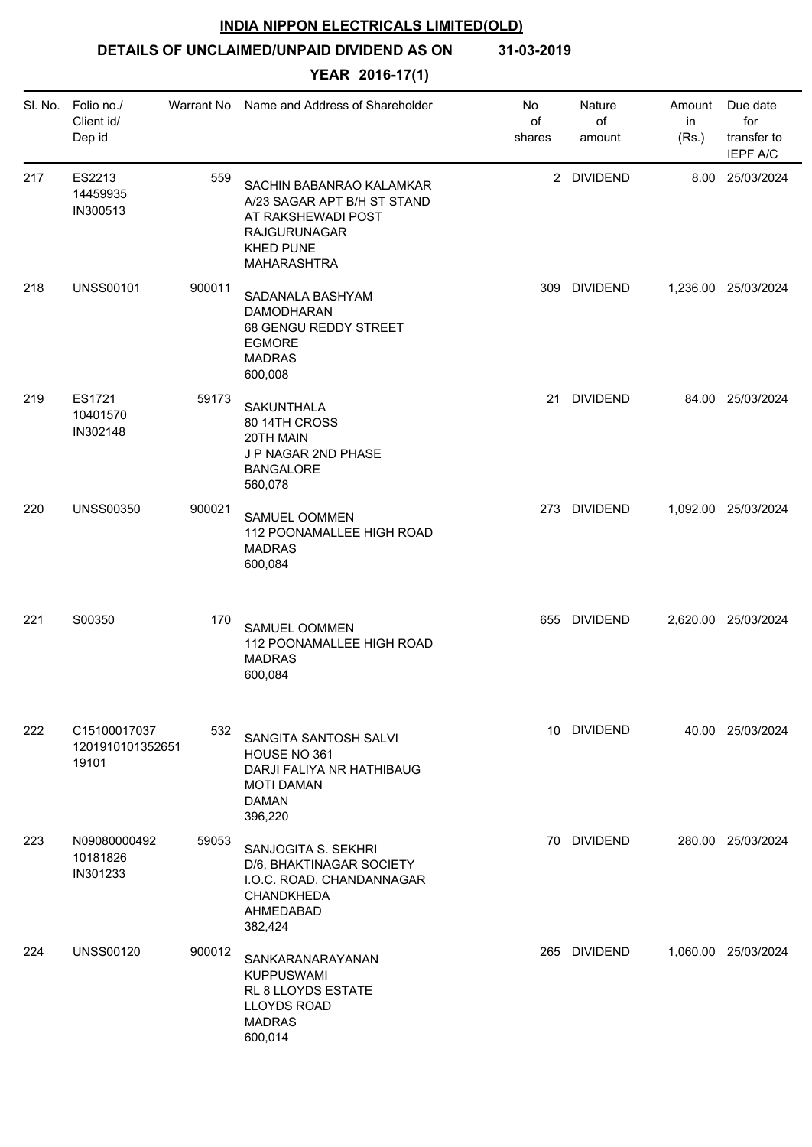**DETAILS OF UNCLAIMED/UNPAID DIVIDEND AS ON 31-03-2019**

| SI. No. | Folio no./<br>Client id/<br>Dep id        | Warrant No | Name and Address of Shareholder                                                                                                         | No<br>of<br>shares | Nature<br>of<br>amount | Amount<br>in<br>(Rs.) | Due date<br>for<br>transfer to<br><b>IEPF A/C</b> |
|---------|-------------------------------------------|------------|-----------------------------------------------------------------------------------------------------------------------------------------|--------------------|------------------------|-----------------------|---------------------------------------------------|
| 217     | ES2213<br>14459935<br>IN300513            | 559        | SACHIN BABANRAO KALAMKAR<br>A/23 SAGAR APT B/H ST STAND<br>AT RAKSHEWADI POST<br><b>RAJGURUNAGAR</b><br><b>KHED PUNE</b><br>MAHARASHTRA |                    | 2 DIVIDEND             |                       | 8.00 25/03/2024                                   |
| 218     | <b>UNSS00101</b>                          | 900011     | SADANALA BASHYAM<br><b>DAMODHARAN</b><br>68 GENGU REDDY STREET<br><b>EGMORE</b><br><b>MADRAS</b><br>600,008                             | 309                | <b>DIVIDEND</b>        |                       | 1,236.00 25/03/2024                               |
| 219     | ES1721<br>10401570<br>IN302148            | 59173      | <b>SAKUNTHALA</b><br>80 14TH CROSS<br>20TH MAIN<br>J P NAGAR 2ND PHASE<br><b>BANGALORE</b><br>560,078                                   | 21                 | <b>DIVIDEND</b>        |                       | 84.00 25/03/2024                                  |
| 220     | <b>UNSS00350</b>                          | 900021     | SAMUEL OOMMEN<br>112 POONAMALLEE HIGH ROAD<br><b>MADRAS</b><br>600,084                                                                  |                    | 273 DIVIDEND           |                       | 1,092.00 25/03/2024                               |
| 221     | S00350                                    | 170        | SAMUEL OOMMEN<br>112 POONAMALLEE HIGH ROAD<br><b>MADRAS</b><br>600,084                                                                  |                    | 655 DIVIDEND           |                       | 2,620.00 25/03/2024                               |
| 222     | C15100017037<br>1201910101352651<br>19101 | 532        | SANGITA SANTOSH SALVI<br>HOUSE NO 361<br>DARJI FALIYA NR HATHIBAUG<br><b>MOTI DAMAN</b><br><b>DAMAN</b><br>396,220                      |                    | 10 DIVIDEND            |                       | 40.00 25/03/2024                                  |
| 223     | N09080000492<br>10181826<br>IN301233      | 59053      | SANJOGITA S. SEKHRI<br>D/6, BHAKTINAGAR SOCIETY<br>I.O.C. ROAD, CHANDANNAGAR<br>CHANDKHEDA<br>AHMEDABAD<br>382,424                      |                    | 70 DIVIDEND            |                       | 280.00 25/03/2024                                 |
| 224     | <b>UNSS00120</b>                          | 900012     | SANKARANARAYANAN<br><b>KUPPUSWAMI</b><br>RL 8 LLOYDS ESTATE<br><b>LLOYDS ROAD</b><br><b>MADRAS</b><br>600,014                           |                    | 265 DIVIDEND           |                       | 1,060.00 25/03/2024                               |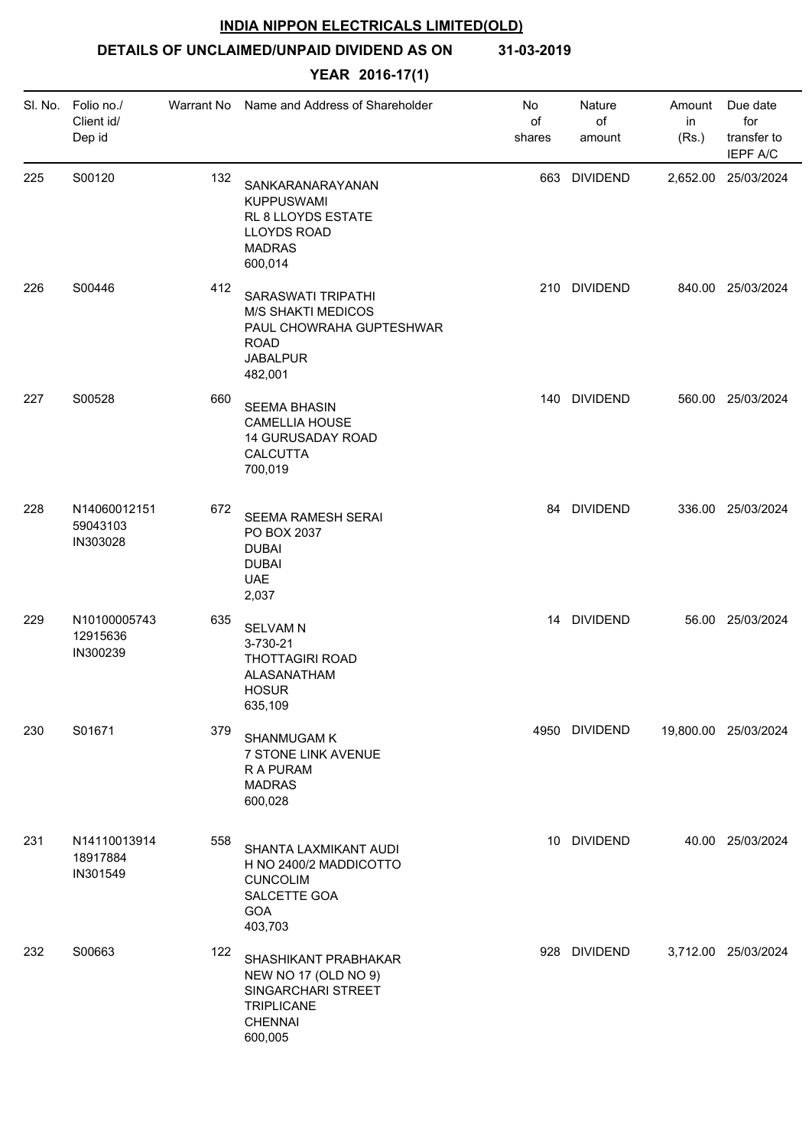**DETAILS OF UNCLAIMED/UNPAID DIVIDEND AS ON 31-03-2019**

|     | SI. No. Folio no./<br>Client id/<br>Dep id | Warrant No | Name and Address of Shareholder                                                                                          | No<br>of<br>shares | Nature<br>of<br>amount | Amount<br>in<br>(Rs.) | Due date<br>for<br>transfer to<br><b>IEPF A/C</b> |
|-----|--------------------------------------------|------------|--------------------------------------------------------------------------------------------------------------------------|--------------------|------------------------|-----------------------|---------------------------------------------------|
| 225 | S00120                                     | 132        | SANKARANARAYANAN<br>KUPPUSWAMI<br>RL 8 LLOYDS ESTATE<br>LLOYDS ROAD<br><b>MADRAS</b><br>600,014                          | 663                | <b>DIVIDEND</b>        |                       | 2,652.00 25/03/2024                               |
| 226 | S00446                                     | 412        | SARASWATI TRIPATHI<br><b>M/S SHAKTI MEDICOS</b><br>PAUL CHOWRAHA GUPTESHWAR<br><b>ROAD</b><br><b>JABALPUR</b><br>482,001 |                    | 210 DIVIDEND           |                       | 840.00 25/03/2024                                 |
| 227 | S00528                                     | 660        | <b>SEEMA BHASIN</b><br><b>CAMELLIA HOUSE</b><br>14 GURUSADAY ROAD<br>CALCUTTA<br>700,019                                 |                    | 140 DIVIDEND           |                       | 560.00 25/03/2024                                 |
| 228 | N14060012151<br>59043103<br>IN303028       | 672        | SEEMA RAMESH SERAI<br>PO BOX 2037<br><b>DUBAI</b><br><b>DUBAI</b><br><b>UAE</b><br>2,037                                 |                    | 84 DIVIDEND            |                       | 336.00 25/03/2024                                 |
| 229 | N10100005743<br>12915636<br>IN300239       | 635        | <b>SELVAM N</b><br>3-730-21<br><b>THOTTAGIRI ROAD</b><br>ALASANATHAM<br><b>HOSUR</b><br>635,109                          |                    | 14 DIVIDEND            |                       | 56.00 25/03/2024                                  |
| 230 | S01671                                     | 379        | SHANMUGAM K<br>7 STONE LINK AVENUE<br>R A PURAM<br><b>MADRAS</b><br>600,028                                              |                    | 4950 DIVIDEND          |                       | 19,800.00 25/03/2024                              |
| 231 | N14110013914<br>18917884<br>IN301549       | 558        | SHANTA LAXMIKANT AUDI<br>H NO 2400/2 MADDICOTTO<br><b>CUNCOLIM</b><br>SALCETTE GOA<br>GOA<br>403,703                     |                    | 10 DIVIDEND            |                       | 40.00 25/03/2024                                  |
| 232 | S00663                                     | 122        | SHASHIKANT PRABHAKAR<br>NEW NO 17 (OLD NO 9)<br>SINGARCHARI STREET<br><b>TRIPLICANE</b><br><b>CHENNAI</b><br>600,005     |                    | 928 DIVIDEND           |                       | 3,712.00 25/03/2024                               |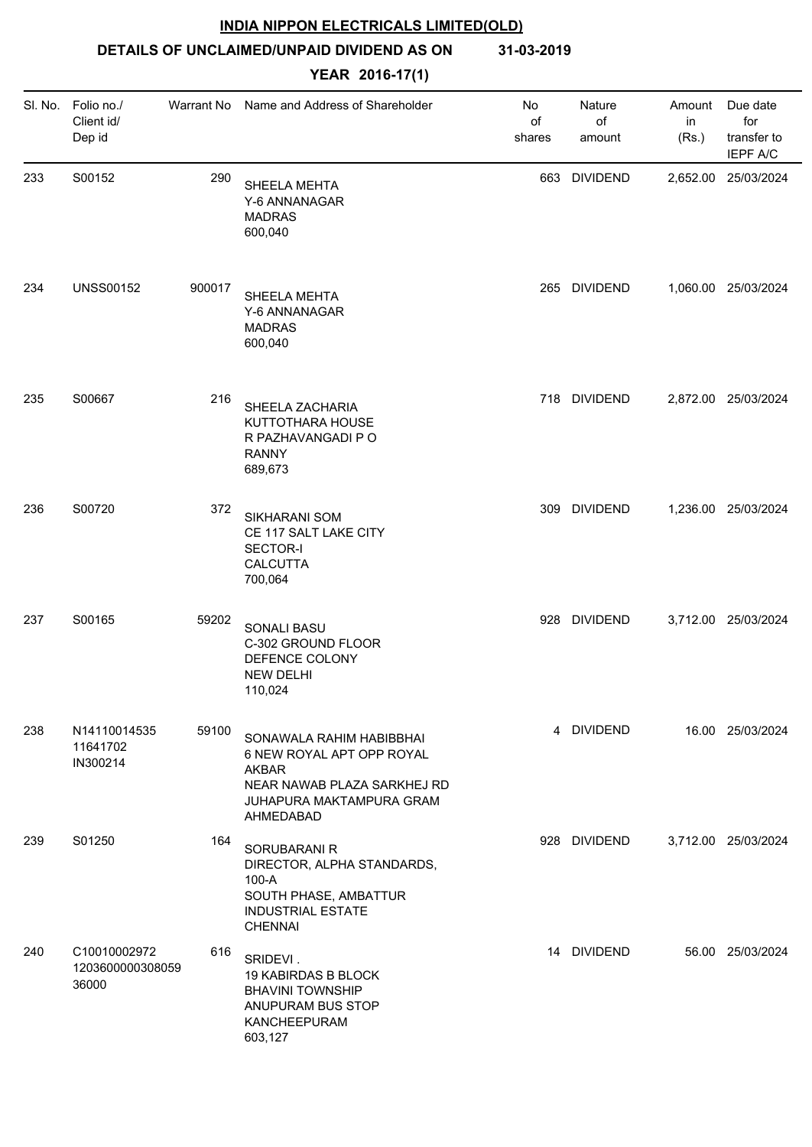**DETAILS OF UNCLAIMED/UNPAID DIVIDEND AS ON 31-03-2019**

| SI. No. | Folio no./<br>Client id/<br>Dep id        | Warrant No | Name and Address of Shareholder                                                                                                               | No<br>of<br>shares | Nature<br>of<br>amount | Amount<br>in<br>(Rs.) | Due date<br>for<br>transfer to<br><b>IEPF A/C</b> |
|---------|-------------------------------------------|------------|-----------------------------------------------------------------------------------------------------------------------------------------------|--------------------|------------------------|-----------------------|---------------------------------------------------|
| 233     | S00152                                    | 290        | SHEELA MEHTA<br>Y-6 ANNANAGAR<br><b>MADRAS</b><br>600,040                                                                                     | 663                | <b>DIVIDEND</b>        |                       | 2,652.00 25/03/2024                               |
| 234     | <b>UNSS00152</b>                          | 900017     | SHEELA MEHTA<br>Y-6 ANNANAGAR<br><b>MADRAS</b><br>600,040                                                                                     | 265                | <b>DIVIDEND</b>        |                       | 1,060.00 25/03/2024                               |
| 235     | S00667                                    | 216        | SHEELA ZACHARIA<br>KUTTOTHARA HOUSE<br>R PAZHAVANGADI P O<br><b>RANNY</b><br>689,673                                                          |                    | 718 DIVIDEND           |                       | 2,872.00 25/03/2024                               |
| 236     | S00720                                    | 372        | SIKHARANI SOM<br>CE 117 SALT LAKE CITY<br><b>SECTOR-I</b><br><b>CALCUTTA</b><br>700,064                                                       | 309                | <b>DIVIDEND</b>        |                       | 1,236.00 25/03/2024                               |
| 237     | S00165                                    | 59202      | SONALI BASU<br>C-302 GROUND FLOOR<br>DEFENCE COLONY<br><b>NEW DELHI</b><br>110,024                                                            |                    | 928 DIVIDEND           |                       | 3,712.00 25/03/2024                               |
| 238     | N14110014535<br>11641702<br>IN300214      | 59100      | SONAWALA RAHIM HABIBBHAI<br>6 NEW ROYAL APT OPP ROYAL<br><b>AKBAR</b><br>NEAR NAWAB PLAZA SARKHEJ RD<br>JUHAPURA MAKTAMPURA GRAM<br>AHMEDABAD |                    | 4 DIVIDEND             |                       | 16.00 25/03/2024                                  |
| 239     | S01250                                    | 164        | SORUBARANI R<br>DIRECTOR, ALPHA STANDARDS,<br>100-A<br>SOUTH PHASE, AMBATTUR<br><b>INDUSTRIAL ESTATE</b><br><b>CHENNAI</b>                    |                    | 928 DIVIDEND           |                       | 3,712.00 25/03/2024                               |
| 240     | C10010002972<br>1203600000308059<br>36000 | 616        | SRIDEVI.<br><b>19 KABIRDAS B BLOCK</b><br><b>BHAVINI TOWNSHIP</b><br>ANUPURAM BUS STOP<br>KANCHEEPURAM<br>603,127                             |                    | 14 DIVIDEND            |                       | 56.00 25/03/2024                                  |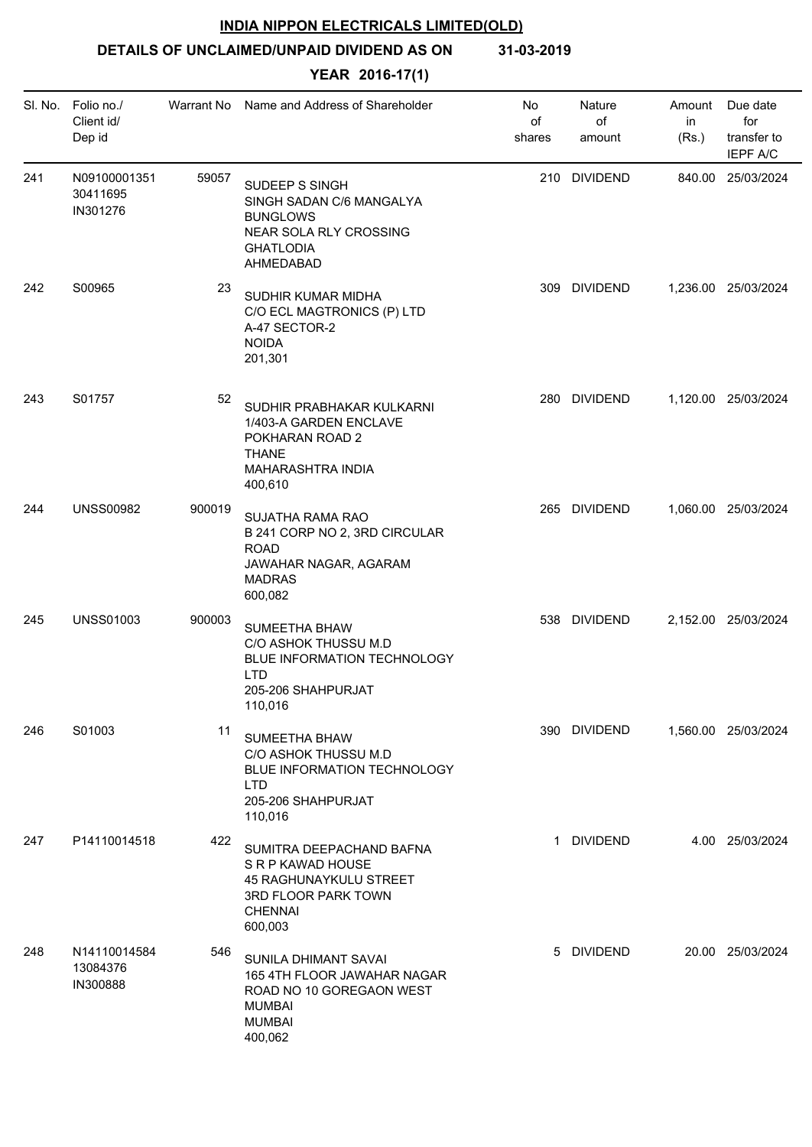**DETAILS OF UNCLAIMED/UNPAID DIVIDEND AS ON 31-03-2019**

| SI. No. | Folio no./<br>Client id/<br>Dep id   | Warrant No | Name and Address of Shareholder                                                                                              | No.<br>of<br>shares | Nature<br>of<br>amount | Amount<br>in<br>(Rs.) | Due date<br>for<br>transfer to<br><b>IEPF A/C</b> |
|---------|--------------------------------------|------------|------------------------------------------------------------------------------------------------------------------------------|---------------------|------------------------|-----------------------|---------------------------------------------------|
| 241     | N09100001351<br>30411695<br>IN301276 | 59057      | SUDEEP S SINGH<br>SINGH SADAN C/6 MANGALYA<br><b>BUNGLOWS</b><br>NEAR SOLA RLY CROSSING<br><b>GHATLODIA</b><br>AHMEDABAD     |                     | 210 DIVIDEND           |                       | 840.00 25/03/2024                                 |
| 242     | S00965                               | 23         | SUDHIR KUMAR MIDHA<br>C/O ECL MAGTRONICS (P) LTD<br>A-47 SECTOR-2<br><b>NOIDA</b><br>201,301                                 |                     | 309 DIVIDEND           |                       | 1,236.00 25/03/2024                               |
| 243     | S01757                               | 52         | SUDHIR PRABHAKAR KULKARNI<br>1/403-A GARDEN ENCLAVE<br>POKHARAN ROAD 2<br><b>THANE</b><br>MAHARASHTRA INDIA<br>400,610       |                     | 280 DIVIDEND           |                       | 1,120.00 25/03/2024                               |
| 244     | <b>UNSS00982</b>                     | 900019     | SUJATHA RAMA RAO<br>B 241 CORP NO 2, 3RD CIRCULAR<br><b>ROAD</b><br>JAWAHAR NAGAR, AGARAM<br><b>MADRAS</b><br>600,082        |                     | 265 DIVIDEND           |                       | 1,060.00 25/03/2024                               |
| 245     | <b>UNSS01003</b>                     | 900003     | <b>SUMEETHA BHAW</b><br>C/O ASHOK THUSSU M.D<br>BLUE INFORMATION TECHNOLOGY<br><b>LTD</b><br>205-206 SHAHPURJAT<br>110,016   |                     | 538 DIVIDEND           |                       | 2,152.00 25/03/2024                               |
| 246     | S01003                               | 11         | <b>SUMEETHA BHAW</b><br>C/O ASHOK THUSSU M.D<br>BLUE INFORMATION TECHNOLOGY<br><b>LTD</b><br>205-206 SHAHPURJAT<br>110,016   |                     | 390 DIVIDEND           |                       | 1,560.00 25/03/2024                               |
| 247     | P14110014518                         | 422        | SUMITRA DEEPACHAND BAFNA<br>S R P KAWAD HOUSE<br>45 RAGHUNAYKULU STREET<br>3RD FLOOR PARK TOWN<br><b>CHENNAI</b><br>600,003  |                     | 1 DIVIDEND             |                       | 4.00 25/03/2024                                   |
| 248     | N14110014584<br>13084376<br>IN300888 | 546        | SUNILA DHIMANT SAVAI<br>165 4TH FLOOR JAWAHAR NAGAR<br>ROAD NO 10 GOREGAON WEST<br><b>MUMBAI</b><br><b>MUMBAI</b><br>400,062 |                     | 5 DIVIDEND             |                       | 20.00 25/03/2024                                  |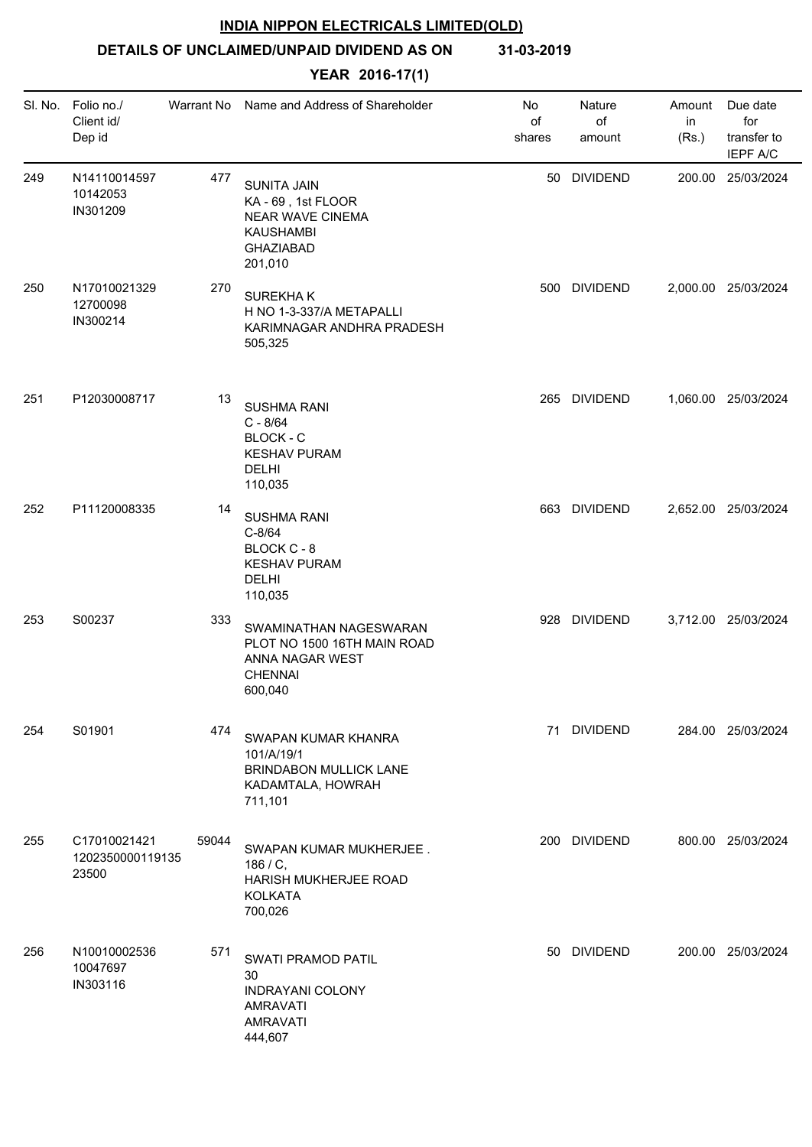**DETAILS OF UNCLAIMED/UNPAID DIVIDEND AS ON 31-03-2019**

| SI. No. | Folio no./<br>Client id/<br>Dep id        | Warrant No | Name and Address of Shareholder                                                                                 | No<br>of<br>shares | Nature<br>of<br>amount | Amount<br>in<br>(Rs.) | Due date<br>for<br>transfer to<br><b>IEPF A/C</b> |
|---------|-------------------------------------------|------------|-----------------------------------------------------------------------------------------------------------------|--------------------|------------------------|-----------------------|---------------------------------------------------|
| 249     | N14110014597<br>10142053<br>IN301209      | 477        | <b>SUNITA JAIN</b><br>KA - 69, 1st FLOOR<br>NEAR WAVE CINEMA<br><b>KAUSHAMBI</b><br><b>GHAZIABAD</b><br>201,010 |                    | 50 DIVIDEND            |                       | 200.00 25/03/2024                                 |
| 250     | N17010021329<br>12700098<br>IN300214      | 270        | <b>SUREKHAK</b><br>H NO 1-3-337/A METAPALLI<br>KARIMNAGAR ANDHRA PRADESH<br>505,325                             |                    | 500 DIVIDEND           |                       | 2,000.00 25/03/2024                               |
| 251     | P12030008717                              | 13         | <b>SUSHMA RANI</b><br>$C - 8/64$<br><b>BLOCK - C</b><br><b>KESHAV PURAM</b><br><b>DELHI</b><br>110,035          | 265                | <b>DIVIDEND</b>        |                       | 1,060.00 25/03/2024                               |
| 252     | P11120008335                              | 14         | <b>SUSHMA RANI</b><br>$C-8/64$<br>BLOCK C - 8<br><b>KESHAV PURAM</b><br><b>DELHI</b><br>110,035                 |                    | 663 DIVIDEND           |                       | 2,652.00 25/03/2024                               |
| 253     | S00237                                    | 333        | SWAMINATHAN NAGESWARAN<br>PLOT NO 1500 16TH MAIN ROAD<br>ANNA NAGAR WEST<br><b>CHENNAI</b><br>600,040           |                    | 928 DIVIDEND           |                       | 3,712.00 25/03/2024                               |
| 254     | S01901                                    | 474        | SWAPAN KUMAR KHANRA<br>101/A/19/1<br><b>BRINDABON MULLICK LANE</b><br>KADAMTALA, HOWRAH<br>711,101              |                    | 71 DIVIDEND            |                       | 284.00 25/03/2024                                 |
| 255     | C17010021421<br>1202350000119135<br>23500 | 59044      | SWAPAN KUMAR MUKHERJEE.<br>186 / C,<br>HARISH MUKHERJEE ROAD<br><b>KOLKATA</b><br>700,026                       |                    | 200 DIVIDEND           |                       | 800.00 25/03/2024                                 |
| 256     | N10010002536<br>10047697<br>IN303116      | 571        | <b>SWATI PRAMOD PATIL</b><br>30<br><b>INDRAYANI COLONY</b><br><b>AMRAVATI</b><br><b>AMRAVATI</b><br>444,607     |                    | 50 DIVIDEND            |                       | 200.00 25/03/2024                                 |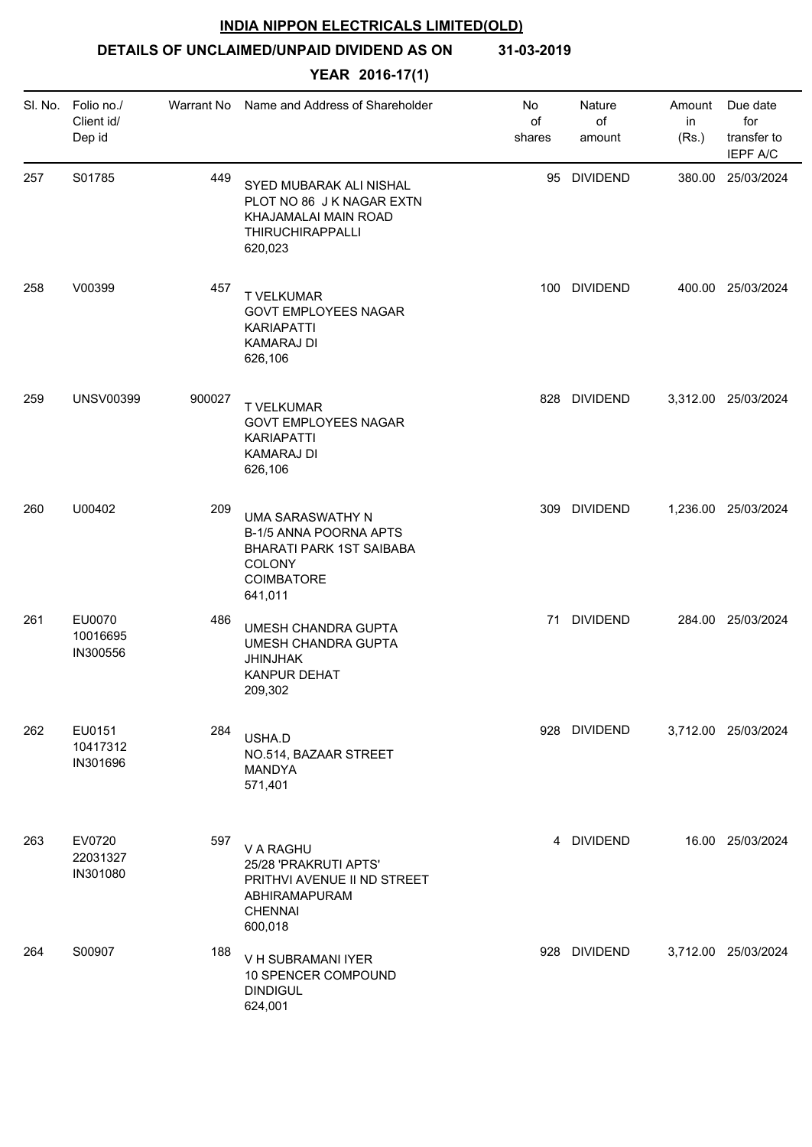# **DETAILS OF UNCLAIMED/UNPAID DIVIDEND AS ON 31-03-2019**

| SI. No. | Folio no./<br>Client id/<br>Dep id | Warrant No | Name and Address of Shareholder                                                                                  | No<br>of<br>shares | Nature<br>of<br>amount | Amount<br>in<br>(Rs.) | Due date<br>for<br>transfer to<br><b>IEPF A/C</b> |
|---------|------------------------------------|------------|------------------------------------------------------------------------------------------------------------------|--------------------|------------------------|-----------------------|---------------------------------------------------|
| 257     | S01785                             | 449        | SYED MUBARAK ALI NISHAL<br>PLOT NO 86 J K NAGAR EXTN<br>KHAJAMALAI MAIN ROAD<br>THIRUCHIRAPPALLI<br>620,023      |                    | 95 DIVIDEND            |                       | 380.00 25/03/2024                                 |
| 258     | V00399                             | 457        | <b>T VELKUMAR</b><br><b>GOVT EMPLOYEES NAGAR</b><br>KARIAPATTI<br><b>KAMARAJ DI</b><br>626,106                   |                    | 100 DIVIDEND           |                       | 400.00 25/03/2024                                 |
| 259     | <b>UNSV00399</b>                   | 900027     | <b>T VELKUMAR</b><br><b>GOVT EMPLOYEES NAGAR</b><br><b>KARIAPATTI</b><br><b>KAMARAJ DI</b><br>626,106            |                    | 828 DIVIDEND           |                       | 3,312.00 25/03/2024                               |
| 260     | U00402                             | 209        | UMA SARASWATHY N<br>B-1/5 ANNA POORNA APTS<br>BHARATI PARK 1ST SAIBABA<br><b>COLONY</b><br>COIMBATORE<br>641,011 |                    | 309 DIVIDEND           |                       | 1,236.00 25/03/2024                               |
| 261     | EU0070<br>10016695<br>IN300556     | 486        | UMESH CHANDRA GUPTA<br>UMESH CHANDRA GUPTA<br>JHINJHAK<br><b>KANPUR DEHAT</b><br>209,302                         |                    | 71 DIVIDEND            |                       | 284.00 25/03/2024                                 |
| 262     | EU0151<br>10417312<br>IN301696     | 284        | USHA.D<br>NO.514, BAZAAR STREET<br>MANDYA<br>571,401                                                             |                    | 928 DIVIDEND           |                       | 3,712.00 25/03/2024                               |
| 263     | EV0720<br>22031327<br>IN301080     | 597        | V A RAGHU<br>25/28 'PRAKRUTI APTS'<br>PRITHVI AVENUE II ND STREET<br>ABHIRAMAPURAM<br><b>CHENNAI</b><br>600,018  |                    | 4 DIVIDEND             |                       | 16.00 25/03/2024                                  |
| 264     | S00907                             | 188        | V H SUBRAMANI IYER<br>10 SPENCER COMPOUND<br><b>DINDIGUL</b><br>624,001                                          |                    | 928 DIVIDEND           |                       | 3,712.00 25/03/2024                               |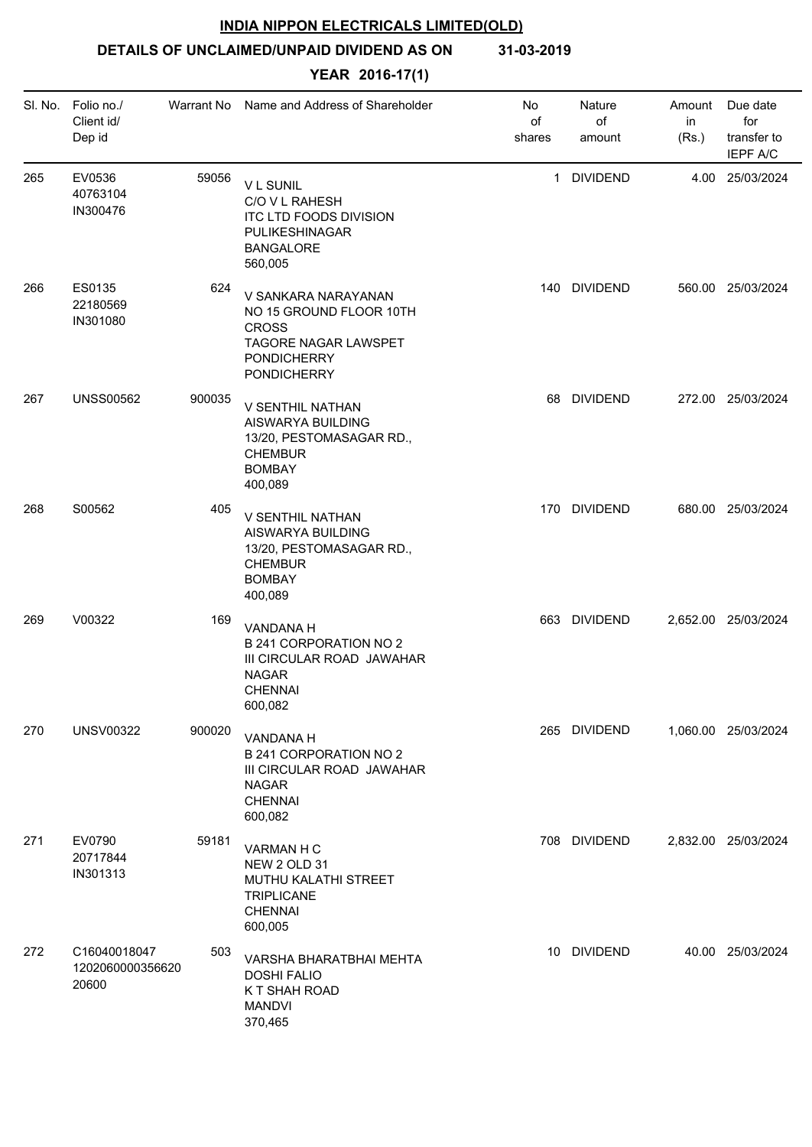# **DETAILS OF UNCLAIMED/UNPAID DIVIDEND AS ON 31-03-2019**

|     | SI. No. Folio no./<br>Client id/<br>Dep id | Warrant No | Name and Address of Shareholder                                                                                                    | No<br>of<br>shares | Nature<br>of<br>amount | Amount<br>in<br>(Rs.) | Due date<br>for<br>transfer to<br><b>IEPF A/C</b> |
|-----|--------------------------------------------|------------|------------------------------------------------------------------------------------------------------------------------------------|--------------------|------------------------|-----------------------|---------------------------------------------------|
| 265 | EV0536<br>40763104<br>IN300476             | 59056      | <b>VL SUNIL</b><br>C/O V L RAHESH<br>ITC LTD FOODS DIVISION<br>PULIKESHINAGAR<br><b>BANGALORE</b><br>560,005                       | $\mathbf{1}$       | <b>DIVIDEND</b>        |                       | 4.00 25/03/2024                                   |
| 266 | ES0135<br>22180569<br>IN301080             | 624        | V SANKARA NARAYANAN<br>NO 15 GROUND FLOOR 10TH<br><b>CROSS</b><br>TAGORE NAGAR LAWSPET<br><b>PONDICHERRY</b><br><b>PONDICHERRY</b> |                    | 140 DIVIDEND           |                       | 560.00 25/03/2024                                 |
| 267 | <b>UNSS00562</b>                           | 900035     | V SENTHIL NATHAN<br>AISWARYA BUILDING<br>13/20, PESTOMASAGAR RD.,<br><b>CHEMBUR</b><br><b>BOMBAY</b><br>400,089                    | 68                 | <b>DIVIDEND</b>        |                       | 272.00 25/03/2024                                 |
| 268 | S00562                                     | 405        | V SENTHIL NATHAN<br>AISWARYA BUILDING<br>13/20, PESTOMASAGAR RD.,<br><b>CHEMBUR</b><br><b>BOMBAY</b><br>400,089                    |                    | 170 DIVIDEND           |                       | 680.00 25/03/2024                                 |
| 269 | V00322                                     | 169        | VANDANA H<br>B 241 CORPORATION NO 2<br>III CIRCULAR ROAD JAWAHAR<br><b>NAGAR</b><br><b>CHENNAI</b><br>600,082                      |                    | 663 DIVIDEND           |                       | 2,652.00 25/03/2024                               |
| 270 | <b>UNSV00322</b>                           | 900020     | VANDANA H<br><b>B 241 CORPORATION NO 2</b><br>III CIRCULAR ROAD JAWAHAR<br><b>NAGAR</b><br><b>CHENNAI</b><br>600,082               |                    | 265 DIVIDEND           |                       | 1,060.00 25/03/2024                               |
| 271 | EV0790<br>20717844<br>IN301313             | 59181      | VARMAN H C<br>NEW 2 OLD 31<br>MUTHU KALATHI STREET<br>TRIPLICANE<br><b>CHENNAI</b><br>600,005                                      |                    | 708 DIVIDEND           |                       | 2,832.00 25/03/2024                               |
| 272 | C16040018047<br>1202060000356620<br>20600  | 503        | VARSHA BHARATBHAI MEHTA<br><b>DOSHI FALIO</b><br>K T SHAH ROAD<br><b>MANDVI</b><br>370,465                                         | 10                 | <b>DIVIDEND</b>        |                       | 40.00 25/03/2024                                  |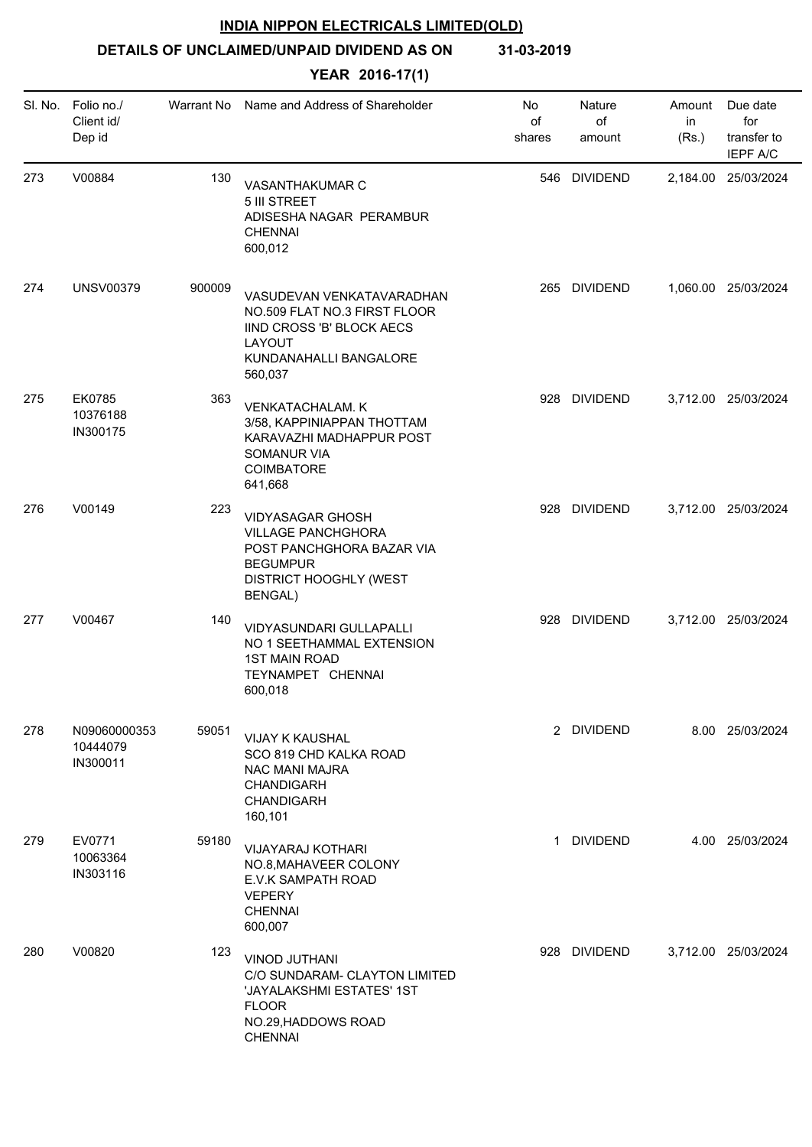**DETAILS OF UNCLAIMED/UNPAID DIVIDEND AS ON 31-03-2019**

| SI. No. | Folio no./<br>Client id/<br>Dep id   | Warrant No | Name and Address of Shareholder                                                                                                                  | No<br>of<br>shares | Nature<br>of<br>amount | Amount<br>in<br>(Rs.) | Due date<br>for<br>transfer to<br><b>IEPF A/C</b> |
|---------|--------------------------------------|------------|--------------------------------------------------------------------------------------------------------------------------------------------------|--------------------|------------------------|-----------------------|---------------------------------------------------|
| 273     | V00884                               | 130        | VASANTHAKUMAR C<br>5 III STREET<br>ADISESHA NAGAR PERAMBUR<br><b>CHENNAI</b><br>600,012                                                          | 546                | <b>DIVIDEND</b>        |                       | 2,184.00 25/03/2024                               |
| 274     | <b>UNSV00379</b>                     | 900009     | VASUDEVAN VENKATAVARADHAN<br>NO.509 FLAT NO.3 FIRST FLOOR<br>IIND CROSS 'B' BLOCK AECS<br>LAYOUT<br>KUNDANAHALLI BANGALORE<br>560,037            | 265                | <b>DIVIDEND</b>        |                       | 1,060.00 25/03/2024                               |
| 275     | EK0785<br>10376188<br>IN300175       | 363        | <b>VENKATACHALAM. K</b><br>3/58, KAPPINIAPPAN THOTTAM<br>KARAVAZHI MADHAPPUR POST<br><b>SOMANUR VIA</b><br><b>COIMBATORE</b><br>641,668          |                    | 928 DIVIDEND           |                       | 3,712.00 25/03/2024                               |
| 276     | V00149                               | 223        | <b>VIDYASAGAR GHOSH</b><br><b>VILLAGE PANCHGHORA</b><br>POST PANCHGHORA BAZAR VIA<br><b>BEGUMPUR</b><br>DISTRICT HOOGHLY (WEST<br><b>BENGAL)</b> |                    | 928 DIVIDEND           |                       | 3,712.00 25/03/2024                               |
| 277     | V00467                               | 140        | VIDYASUNDARI GULLAPALLI<br>NO 1 SEETHAMMAL EXTENSION<br><b>1ST MAIN ROAD</b><br>TEYNAMPET CHENNAI<br>600,018                                     |                    | 928 DIVIDEND           |                       | 3,712.00 25/03/2024                               |
| 278     | N09060000353<br>10444079<br>IN300011 | 59051      | <b>VIJAY K KAUSHAL</b><br>SCO 819 CHD KALKA ROAD<br>NAC MANI MAJRA<br><b>CHANDIGARH</b><br><b>CHANDIGARH</b><br>160,101                          |                    | 2 DIVIDEND             |                       | 8.00 25/03/2024                                   |
| 279     | EV0771<br>10063364<br>IN303116       | 59180      | <b>VIJAYARAJ KOTHARI</b><br>NO.8, MAHAVEER COLONY<br>E.V.K SAMPATH ROAD<br><b>VEPERY</b><br><b>CHENNAI</b><br>600,007                            | -1                 | <b>DIVIDEND</b>        |                       | 4.00 25/03/2024                                   |
| 280     | V00820                               | 123        | VINOD JUTHANI<br>C/O SUNDARAM- CLAYTON LIMITED<br>'JAYALAKSHMI ESTATES' 1ST<br><b>FLOOR</b><br>NO.29, HADDOWS ROAD<br><b>CHENNAI</b>             |                    | 928 DIVIDEND           |                       | 3,712.00 25/03/2024                               |